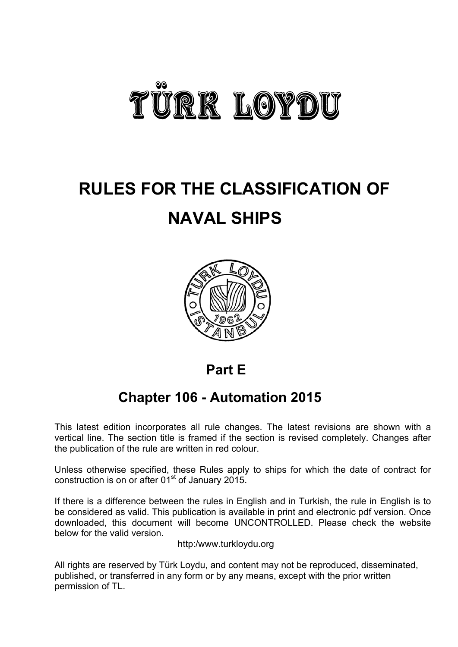

# **RULES FOR THE CLASSIFICATION OF NAVAL SHIPS**



# **Part E**

# **Chapter 106 - Automation 2015**

This latest edition incorporates all rule changes. The latest revisions are shown with a vertical line. The section title is framed if the section is revised completely. Changes after the publication of the rule are written in red colour.

Unless otherwise specified, these Rules apply to ships for which the date of contract for construction is on or after  $01<sup>st</sup>$  of January 2015.

If there is a difference between the rules in English and in Turkish, the rule in English is to be considered as valid. This publication is available in print and electronic pdf version. Once downloaded, this document will become UNCONTROLLED. Please check the website below for the valid version.

http:/www.turkloydu.org

All rights are reserved by Türk Loydu, and content may not be reproduced, disseminated, published, or transferred in any form or by any means, except with the prior written permission of TL.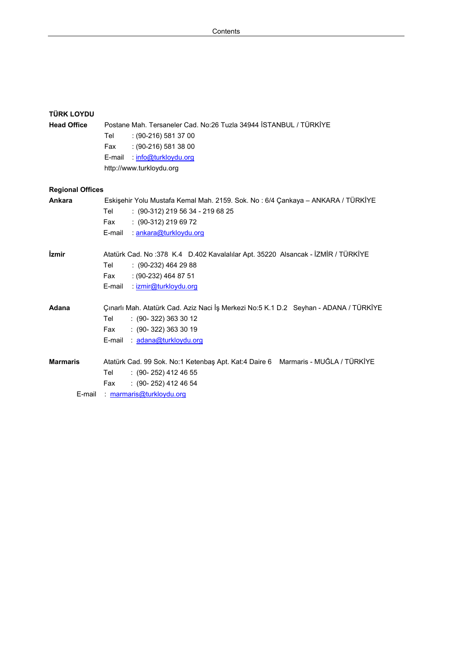| <b>TÜRK LOYDU</b>          |                                                                                      |
|----------------------------|--------------------------------------------------------------------------------------|
| <b>Head Office</b>         | Postane Mah. Tersaneler Cad. No:26 Tuzla 34944 İSTANBUL / TÜRKİYE                    |
|                            | $: (90-216) 581 37 00$<br>Tel                                                        |
|                            | $: (90-216) 581 38 00$<br>Fax                                                        |
|                            | info@turkloydu.org<br>E-mail                                                         |
|                            | http://www.turkloydu.org                                                             |
|                            |                                                                                      |
| <b>Regional Offices</b>    |                                                                                      |
| Ankara                     | Eskişehir Yolu Mustafa Kemal Mah. 2159. Sok. No: 6/4 Çankaya - ANKARA / TÜRKİYE      |
|                            | Tel<br>$: (90-312)$ 219 56 34 - 219 68 25                                            |
|                            | $: (90-312)$ 219 69 72<br>Fax                                                        |
|                            | E-mail : ankara@turkloydu.org                                                        |
| <i><u><b>izmir</b></u></i> | Atatürk Cad. No: 378 K.4 D.402 Kavalalılar Apt. 35220 Alsancak - İZMİR / TÜRKİYE     |
|                            | Tel<br>$(90-232)$ 464 29 88                                                          |
|                            | : (90-232) 464 87 51<br>Fax                                                          |
|                            | E-mail<br>: izmir@turkloydu.org                                                      |
|                            |                                                                                      |
| Adana                      | Çınarlı Mah. Atatürk Cad. Aziz Naci İş Merkezi No:5 K.1 D.2 Seyhan - ADANA / TÜRKİYE |
|                            | Tel<br>$: (90-322) 363 30 12$                                                        |
|                            | $: (90 - 322) 363 30 19$<br>Fax                                                      |
|                            | E-mail: adana@turkloydu.org                                                          |
| <b>Marmaris</b>            | Atatürk Cad. 99 Sok. No:1 Ketenbaş Apt. Kat:4 Daire 6 Marmaris - MUĞLA / TÜRKİYE     |
|                            | Tel<br>$: (90 - 252)$ 412 46 55                                                      |
|                            | $(90 - 252)$ 412 46 54<br>Fax                                                        |
| E-mail                     | marmaris@turkloydu.org                                                               |
|                            |                                                                                      |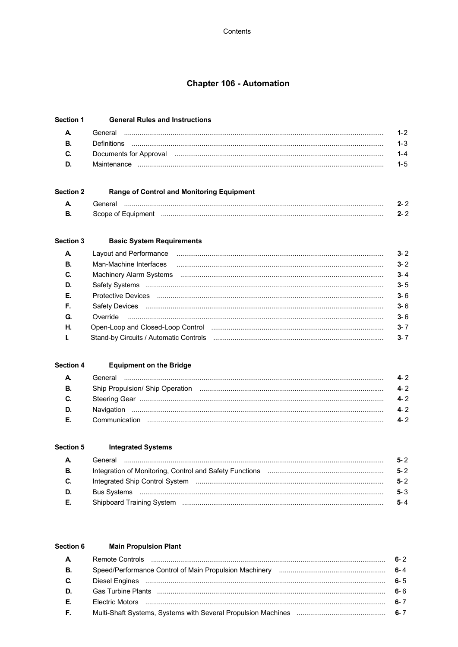## **Chapter 106 - Automation**

| <b>Section 1</b> | <b>General Rules and Instructions</b>                                                                          |         |
|------------------|----------------------------------------------------------------------------------------------------------------|---------|
|                  | General                                                                                                        | $1 - 2$ |
|                  | ∩efinitions                                                                                                    | $1 - 3$ |
| C.               | Documents for Approval measurements and contact the measurement of the measurement of the measurement of the m | $1 - 4$ |
| D.               |                                                                                                                | $1 - 5$ |

#### **Section 2 Range of Control and Monitoring Equipment**  $\Delta$  $2 - 2$ **B.**  $2 - 2$

#### Section 3 **Basic System Requirements**

| $\mathbf{A}$ | Layout and Performance manufactured and all the contract of the contract of the contract of the contract of the | $3 - 2$ |
|--------------|-----------------------------------------------------------------------------------------------------------------|---------|
| <b>B.</b>    | Man-Machine Interfaces                                                                                          | $3 - 2$ |
| C.           |                                                                                                                 | $3 - 4$ |
| D.           |                                                                                                                 | $3 - 5$ |
| Е.           |                                                                                                                 | $3 - 6$ |
| F.           |                                                                                                                 | $3 - 6$ |
| G.           |                                                                                                                 | $3 - 6$ |
| Н.           |                                                                                                                 | $3 - 7$ |
| $\mathbf{L}$ |                                                                                                                 | $3 - 7$ |
|              |                                                                                                                 |         |

#### **Section 4 Equipment on the Bridge**

| A. | General       | 4-2  |
|----|---------------|------|
| В. |               | 4-2  |
| C. |               | 4-2  |
| D. | Navigation    | 4-2  |
| E. | Communication | A. ? |

#### **Section 5 Integrated Systems**  $\Delta$ B. C. D. **Bus Systems** E.

 $5 - 2$ 

 $5 - 2$ 

 $5 - 2$ 

 $5 - 3$ 

 $5 - 4$ 

#### Section 6 **Main Propulsion Plant** A.  $6 - 2$ **B.**  $6 - 4$ C.  $6 - 5$ D.  $6 - 6$ E. Electric Motors (a) (2000) (2000) (2000) (2000) (2000) (2000) (2000) (2000) (2000) (2000) (2000) (2000) (2000) (2000) (2000) (2000) (2000) (2000) (2000) (2000) (2000) (2000) (2000) (2000) (2000) (2000) (2000) (2000) (2000)  $6 - 7$ F.  $6 - 7$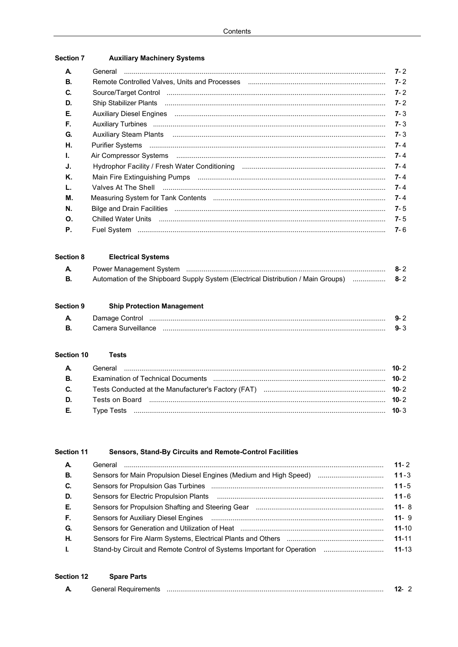| <b>Section 7</b> | <b>Auxiliary Machinery Systems</b> |
|------------------|------------------------------------|
|------------------|------------------------------------|

| А. |                                                                                                                                                                                                                                | $7 - 2$ |
|----|--------------------------------------------------------------------------------------------------------------------------------------------------------------------------------------------------------------------------------|---------|
| В. |                                                                                                                                                                                                                                | $7 - 2$ |
| C. | Source/Target Control members and control members of control members and control members of control members and control members and control members and control members and control members and control members and control me | $7 - 2$ |
| D. |                                                                                                                                                                                                                                | $7 - 2$ |
| Е. | Auxiliary Diesel Engines manufacture and the control of the control of the control of the control of the control of the control of the control of the control of the control of the control of the control of the control of t | $7 - 3$ |
| F. |                                                                                                                                                                                                                                | $7 - 3$ |
| G. |                                                                                                                                                                                                                                | $7 - 3$ |
| Η. |                                                                                                                                                                                                                                | $7 - 4$ |
| Ъ. |                                                                                                                                                                                                                                | $7 - 4$ |
| J. |                                                                                                                                                                                                                                | $7 - 4$ |
| Κ. | Main Fire Extinguishing Pumps (1000) (2000) (2000) (2000) (2000) (2000) (2000) (2000) (2000) (2000) (2000) (20                                                                                                                 | $7 - 4$ |
| L. | Valves At The Shell <b>www.communication.communication.communication</b>                                                                                                                                                       | $7 - 4$ |
| М. |                                                                                                                                                                                                                                | $7 - 4$ |
| N. |                                                                                                                                                                                                                                | $7 - 5$ |
| Ο. | Chilled Water Units minimum and the control of the United Water Units of the control of the control of the Units of the Units of the Units of the Units of the Units of the Units of the Units of the Units of the Units of th | $7 - 5$ |
| Р. |                                                                                                                                                                                                                                | $7 - 6$ |
|    |                                                                                                                                                                                                                                |         |

#### Section 8 **Electrical Systems**

|                                                                                        | $8 - 2$ |
|----------------------------------------------------------------------------------------|---------|
| Automation of the Shipboard Supply System (Electrical Distribution / Main Groups)  8-2 |         |

#### Section 9 **Ship Protection Management**

| A | Damage Control      |     |
|---|---------------------|-----|
| в | Camera Surveillance | . . |

#### Section 10 **Tests**

| <b>D.</b> Tests on Board <b>with the contract of the contract of the contract of the 2</b> |  |
|--------------------------------------------------------------------------------------------|--|
|                                                                                            |  |

#### Section 11 Sensors, Stand-By Circuits and Remote-Control Facilities

| $\mathbf{A}$ | General                                                                                              | $11 - 2$  |
|--------------|------------------------------------------------------------------------------------------------------|-----------|
| <b>B.</b>    | Sensors for Main Propulsion Diesel Engines (Medium and High Speed)                                   | $11 - 3$  |
| C.           |                                                                                                      | $11 - 5$  |
| D.           |                                                                                                      | $11 - 6$  |
| Е.           |                                                                                                      | $11 - 8$  |
| F.           |                                                                                                      | $11 - 9$  |
| G.           | Sensors for Generation and Utilization of Heat music music music music music music music music music | $11 - 10$ |
| Η.           |                                                                                                      | $11 - 11$ |
| $\mathbf{L}$ | Stand-by Circuit and Remote Control of Systems Important for Operation                               | $11 - 13$ |
|              |                                                                                                      |           |

| <b>Section 12</b> | <b>Spare Parts</b>          |     |  |
|-------------------|-----------------------------|-----|--|
|                   | <b>General Requirements</b> | 12- |  |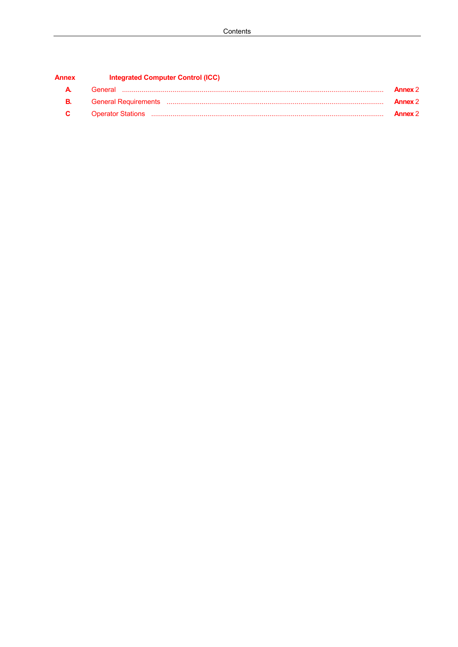| <b>Annex</b> | Integrated Computer Control (ICC)                                                                                                                                                                                                    |                |
|--------------|--------------------------------------------------------------------------------------------------------------------------------------------------------------------------------------------------------------------------------------|----------------|
| А.           | General                                                                                                                                                                                                                              | <b>Annex 2</b> |
| В.           |                                                                                                                                                                                                                                      | <b>Annex 2</b> |
| C.           | Operator Stations <b>www.margareta.com/margareta.com/margareta.com/margareta.com/margareta.com/margareta.com/margareta.com/margareta.com/margareta.com/margareta.com/margareta.com/margareta.com/margareta.com/margareta.com/mar</b> | <b>Annex 2</b> |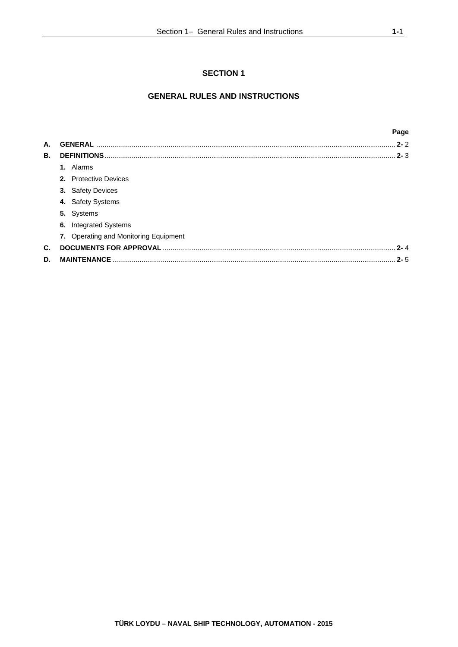# **SECTION 1**

# **GENERAL RULES AND INSTRUCTIONS**

|    |                                       | Page    |
|----|---------------------------------------|---------|
| А. | <b>GENERAL</b>                        | $2 - 2$ |
| В. | <b>DEFINITIONS</b>                    | $2 - 3$ |
|    | 1. Alarms                             |         |
|    | 2. Protective Devices                 |         |
|    | 3. Safety Devices                     |         |
|    | 4. Safety Systems                     |         |
|    | 5. Systems                            |         |
|    | <b>Integrated Systems</b><br>6.       |         |
|    | 7. Operating and Monitoring Equipment |         |
| C. |                                       | $2 - 4$ |
| D. | <b>MAINTENANCE</b>                    | $2 - 5$ |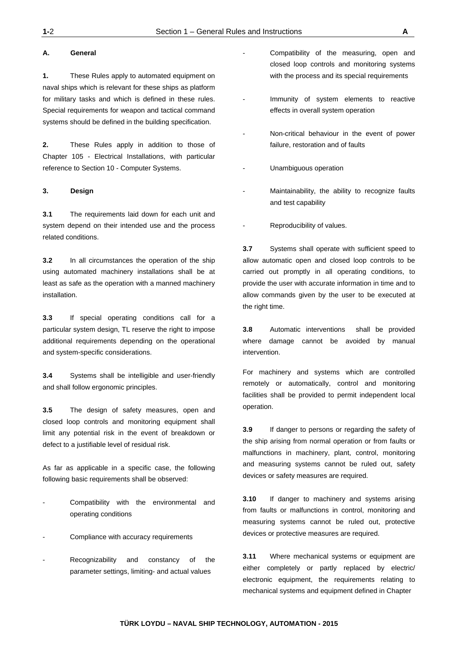### **A. General**

**1.** These Rules apply to automated equipment on naval ships which is relevant for these ships as platform for military tasks and which is defined in these rules. Special requirements for weapon and tactical command systems should be defined in the building specification.

**2.** These Rules apply in addition to those of Chapter 105 - Electrical Installations, with particular reference to Section 10 - Computer Systems.

#### **3. Design**

**3.1** The requirements laid down for each unit and system depend on their intended use and the process related conditions.

**3.2** In all circumstances the operation of the ship using automated machinery installations shall be at least as safe as the operation with a manned machinery installation.

**3.3** If special operating conditions call for a particular system design, TL reserve the right to impose additional requirements depending on the operational and system-specific considerations.

**3.4** Systems shall be intelligible and user-friendly and shall follow ergonomic principles.

**3.5** The design of safety measures, open and closed loop controls and monitoring equipment shall limit any potential risk in the event of breakdown or defect to a justifiable level of residual risk.

As far as applicable in a specific case, the following following basic requirements shall be observed:

- Compatibility with the environmental and operating conditions
- Compliance with accuracy requirements
- Recognizability and constancy of the parameter settings, limiting- and actual values
- Compatibility of the measuring, open and closed loop controls and monitoring systems with the process and its special requirements
- Immunity of system elements to reactive effects in overall system operation
- Non-critical behaviour in the event of power failure, restoration and of faults
- Unambiguous operation
- Maintainability, the ability to recognize faults and test capability
- Reproducibility of values.

**3.7** Systems shall operate with sufficient speed to allow automatic open and closed loop controls to be carried out promptly in all operating conditions, to provide the user with accurate information in time and to allow commands given by the user to be executed at the right time.

**3.8** Automatic interventions shall be provided where damage cannot be avoided by manual intervention.

For machinery and systems which are controlled remotely or automatically, control and monitoring facilities shall be provided to permit independent local operation.

**3.9** If danger to persons or regarding the safety of the ship arising from normal operation or from faults or malfunctions in machinery, plant, control, monitoring and measuring systems cannot be ruled out, safety devices or safety measures are required.

**3.10** If danger to machinery and systems arising from faults or malfunctions in control, monitoring and measuring systems cannot be ruled out, protective devices or protective measures are required.

**3.11** Where mechanical systems or equipment are either completely or partly replaced by electric/ electronic equipment, the requirements relating to mechanical systems and equipment defined in Chapter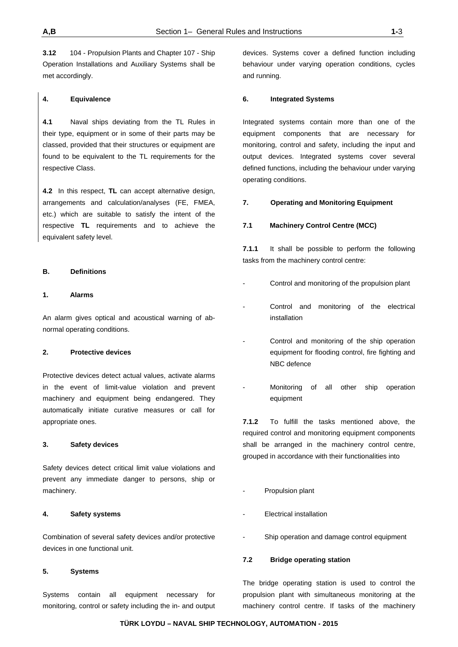**3.12** 104 - Propulsion Plants and Chapter 107 - Ship Operation Installations and Auxiliary Systems shall be met accordingly.

#### **4. Equivalence**

**4.1** Naval ships deviating from the TL Rules in their type, equipment or in some of their parts may be classed, provided that their structures or equipment are found to be equivalent to the TL requirements for the respective Class.

**4.2** In this respect, **TL** can accept alternative design, arrangements and calculation/analyses (FE, FMEA, etc.) which are suitable to satisfy the intent of the respective **TL** requirements and to achieve the equivalent safety level.

#### **B. Definitions**

#### **1. Alarms**

An alarm gives optical and acoustical warning of abnormal operating conditions.

#### **2. Protective devices**

Protective devices detect actual values, activate alarms in the event of limit-value violation and prevent machinery and equipment being endangered. They automatically initiate curative measures or call for appropriate ones.

#### **3. Safety devices**

Safety devices detect critical limit value violations and prevent any immediate danger to persons, ship or machinery.

#### **4. Safety systems**

Combination of several safety devices and/or protective devices in one functional unit.

#### **5. Systems**

Systems contain all equipment necessary for monitoring, control or safety including the in- and output devices. Systems cover a defined function including behaviour under varying operation conditions, cycles and running.

#### **6. Integrated Systems**

Integrated systems contain more than one of the equipment components that are necessary for monitoring, control and safety, including the input and output devices. Integrated systems cover several defined functions, including the behaviour under varying operating conditions.

#### **7. Operating and Monitoring Equipment**

#### **7.1 Machinery Control Centre (MCC)**

**7.1.1** It shall be possible to perform the following tasks from the machinery control centre:

- Control and monitoring of the propulsion plant
- Control and monitoring of the electrical installation
- Control and monitoring of the ship operation equipment for flooding control, fire fighting and NBC defence
- Monitoring of all other ship operation equipment

**7.1.2** To fulfill the tasks mentioned above, the required control and monitoring equipment components shall be arranged in the machinery control centre, grouped in accordance with their functionalities into

- Propulsion plant
- Electrical installation
- Ship operation and damage control equipment

### **7.2 Bridge operating station**

The bridge operating station is used to control the propulsion plant with simultaneous monitoring at the machinery control centre. If tasks of the machinery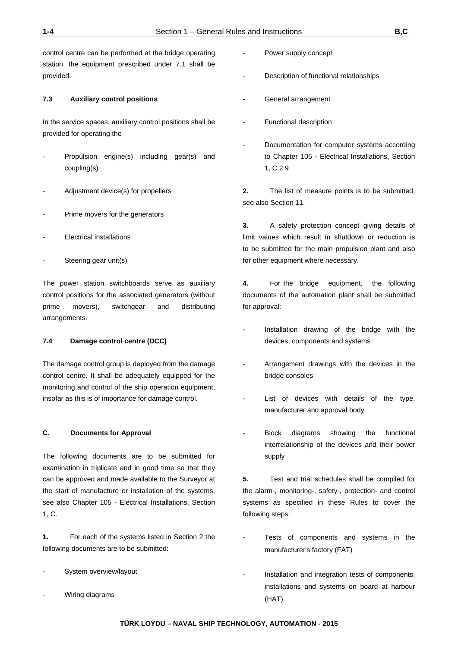control centre can be performed at the bridge operating station, the equipment prescribed under 7.1 shall be provided.

#### **7.3 Auxiliary control positions**

In the service spaces, auxiliary control positions shall be provided for operating the

- Propulsion engine(s) including gear(s) and coupling(s)
- Adjustment device(s) for propellers
- Prime movers for the generators
- **Electrical installations**
- Steering gear unit(s)

The power station switchboards serve as auxiliary control positions for the associated generators (without prime movers), switchgear and distributing arrangements.

#### **7.4 Damage control centre (DCC)**

The damage control group is deployed from the damage control centre. It shall be adequately equipped for the monitoring and control of the ship operation equipment, insofar as this is of importance for damage control.

#### **C. Documents for Approval**

The following documents are to be submitted for examination in triplicate and in good time so that they can be approved and made available to the Surveyor at the start of manufacture or installation of the systems, see also Chapter 105 - Electrical Installations, Section 1, C.

**1.** For each of the systems listed in Section 2 the following documents are to be submitted:

- System overview/layout
- Wiring diagrams

Power supply concept

Description of functional relationships

- General arrangement
- Functional description
- Documentation for computer systems according to Chapter 105 - Electrical Installations, Section 1, C.2.9

**2.** The list of measure points is to be submitted, see also Section 11.

**3.** A safety protection concept giving details of limit values which result in shutdown or reduction is to be submitted for the main propulsion plant and also for other equipment where necessary.

**4.** For the bridge equipment, the following documents of the automation plant shall be submitted for approval:

- Installation drawing of the bridge with the devices, components and systems
- Arrangement drawings with the devices in the bridge consoles
- List of devices with details of the type, manufacturer and approval body
- Block diagrams showing the functional interrelationship of the devices and their power supply

**5.** Test and trial schedules shall be compiled for the alarm-, monitoring-, safety-, protection- and control systems as specified in these Rules to cover the following steps:

- Tests of components and systems in the manufacturer's factory (FAT)
- Installation and integration tests of components, installations and systems on board at harbour (HAT)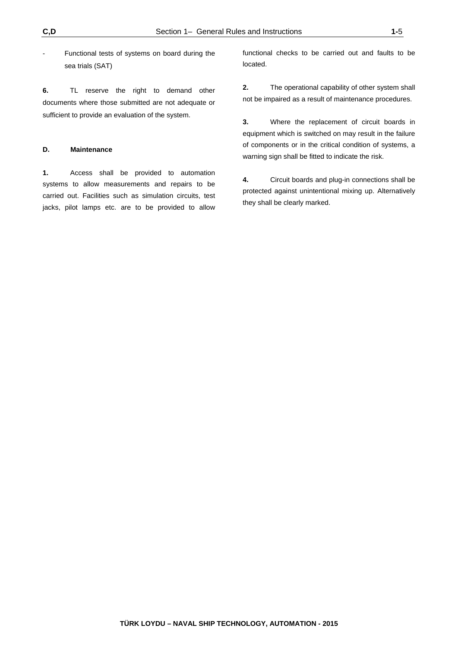Functional tests of systems on board during the sea trials (SAT)

**6.** TL reserve the right to demand other documents where those submitted are not adequate or sufficient to provide an evaluation of the system.

#### **D. Maintenance**

**1.** Access shall be provided to automation systems to allow measurements and repairs to be carried out. Facilities such as simulation circuits, test jacks, pilot lamps etc. are to be provided to allow functional checks to be carried out and faults to be located.

**2.** The operational capability of other system shall not be impaired as a result of maintenance procedures.

**3.** Where the replacement of circuit boards in equipment which is switched on may result in the failure of components or in the critical condition of systems, a warning sign shall be fitted to indicate the risk.

**4.** Circuit boards and plug-in connections shall be protected against unintentional mixing up. Alternatively they shall be clearly marked.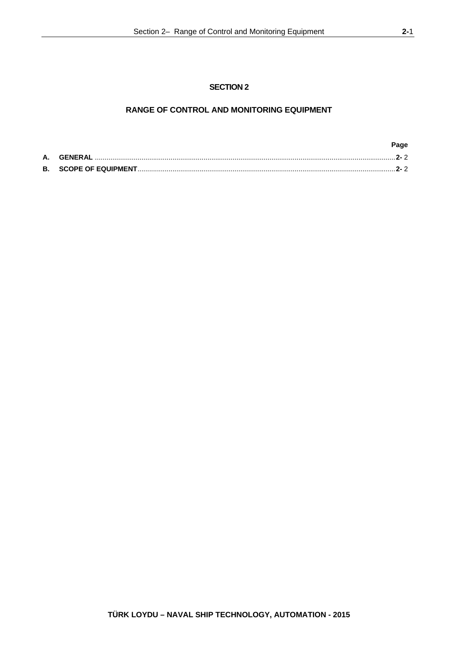# **RANGE OF CONTROL AND MONITORING EQUIPMENT**

|    |         | Page    |  |
|----|---------|---------|--|
| А. | GENERAL | - 2- 2  |  |
|    |         | $2 - 2$ |  |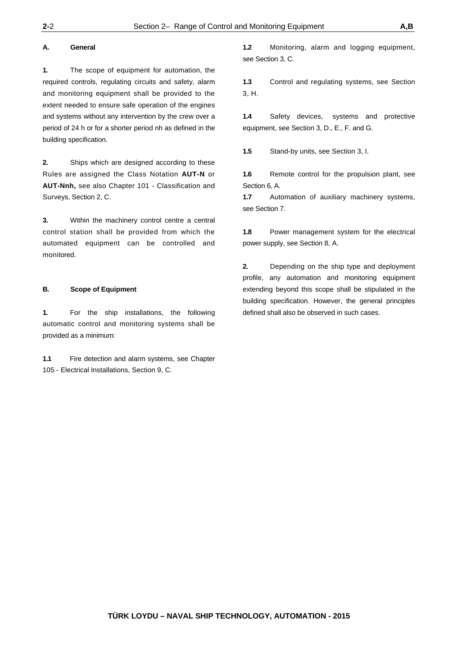#### **A. General**

**1.** The scope of equipment for automation, the required controls, regulating circuits and safety, alarm and monitoring equipment shall be provided to the extent needed to ensure safe operation of the engines and systems without any intervention by the crew over a period of 24 h or for a shorter period nh as defined in the building specification.

**2.** Ships which are designed according to these Rules are assigned the Class Notation **AUT-N** or **AUT-Nnh,** see also Chapter 101 - Classification and Surveys, Section 2, C.

**3.** Within the machinery control centre a central control station shall be provided from which the automated equipment can be controlled and monitored.

#### **B. Scope of Equipment**

**1.** For the ship installations, the following automatic control and monitoring systems shall be provided as a minimum:

**1.1** Fire detection and alarm systems, see Chapter 105 - Electrical Installations, Section 9, C.

**1.2** Monitoring, alarm and logging equipment, see Section 3, C.

**1.3** Control and regulating systems, see Section 3, H.

**1.4** Safety devices, systems and protective equipment, see Section 3, D., E., F. and G.

**1.5** Stand-by units, see Section 3, I.

**1.6** Remote control for the propulsion plant, see Section 6, A.

**1.7** Automation of auxiliary machinery systems, see Section 7.

**1.8** Power management system for the electrical power supply, see Section 8, A.

**2.** Depending on the ship type and deployment profile, any automation and monitoring equipment extending beyond this scope shall be stipulated in the building specification. However, the general principles defined shall also be observed in such cases.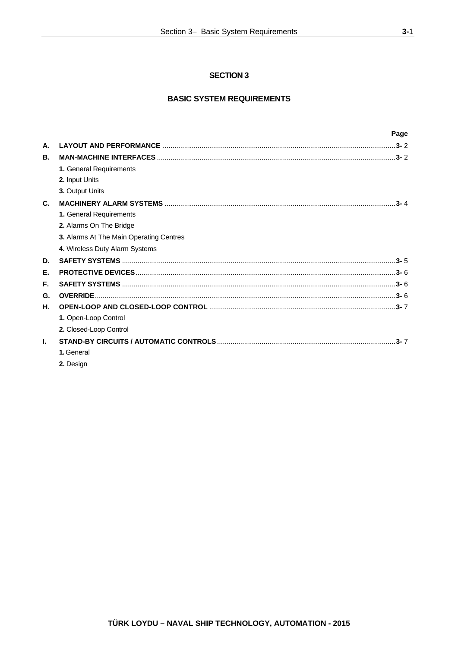# **SECTION 3**

# **BASIC SYSTEM REQUIREMENTS**

|    |                                         | Page    |
|----|-----------------------------------------|---------|
| А. |                                         |         |
| В. |                                         |         |
|    | 1. General Requirements                 |         |
|    | 2. Input Units                          |         |
|    | 3. Output Units                         |         |
| C. |                                         | $3 - 4$ |
|    | 1. General Requirements                 |         |
|    | 2. Alarms On The Bridge                 |         |
|    | 3. Alarms At The Main Operating Centres |         |
|    | 4. Wireless Duty Alarm Systems          |         |
| D. |                                         |         |
| Е. |                                         |         |
| F. |                                         |         |
| G. |                                         |         |
| Н. |                                         |         |
|    | 1. Open-Loop Control                    |         |
|    | 2. Closed-Loop Control                  |         |
| L. |                                         |         |
|    | 1. General                              |         |
|    | 2. Design                               |         |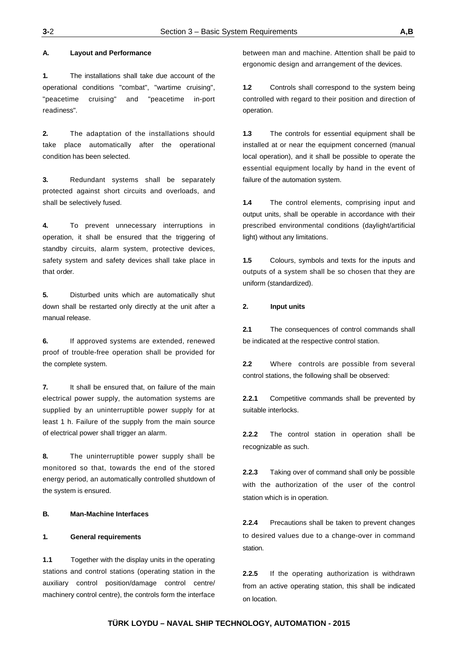#### **A. Layout and Performance**

**1.** The installations shall take due account of the operational conditions "combat", "wartime cruising", "peacetime cruising" and "peacetime in-port readiness".

**2.** The adaptation of the installations should take place automatically after the operational condition has been selected.

**3.** Redundant systems shall be separately protected against short circuits and overloads, and shall be selectively fused.

**4.** To prevent unnecessary interruptions in operation, it shall be ensured that the triggering of standby circuits, alarm system, protective devices, safety system and safety devices shall take place in that order.

**5.** Disturbed units which are automatically shut down shall be restarted only directly at the unit after a manual release.

**6.** If approved systems are extended, renewed proof of trouble-free operation shall be provided for the complete system.

**7.** It shall be ensured that, on failure of the main electrical power supply, the automation systems are supplied by an uninterruptible power supply for at least 1 h. Failure of the supply from the main source of electrical power shall trigger an alarm.

**8.** The uninterruptible power supply shall be monitored so that, towards the end of the stored energy period, an automatically controlled shutdown of the system is ensured.

### **B. Man-Machine Interfaces**

#### **1. General requirements**

**1.1** Together with the display units in the operating stations and control stations (operating station in the auxiliary control position/damage control centre/ machinery control centre), the controls form the interface

between man and machine. Attention shall be paid to ergonomic design and arrangement of the devices.

**1.2** Controls shall correspond to the system being controlled with regard to their position and direction of operation.

**1.3** The controls for essential equipment shall be installed at or near the equipment concerned (manual local operation), and it shall be possible to operate the essential equipment locally by hand in the event of failure of the automation system.

**1.4** The control elements, comprising input and output units, shall be operable in accordance with their prescribed environmental conditions (daylight/artificial light) without any limitations.

**1.5** Colours, symbols and texts for the inputs and outputs of a system shall be so chosen that they are uniform (standardized).

#### **2. Input units**

**2.1** The consequences of control commands shall be indicated at the respective control station.

**2.2** Where controls are possible from several control stations, the following shall be observed:

**2.2.1** Competitive commands shall be prevented by suitable interlocks.

**2.2.2** The control station in operation shall be recognizable as such.

**2.2.3** Taking over of command shall only be possible with the authorization of the user of the control station which is in operation.

**2.2.4** Precautions shall be taken to prevent changes to desired values due to a change-over in command station.

**2.2.5** If the operating authorization is withdrawn from an active operating station, this shall be indicated on location.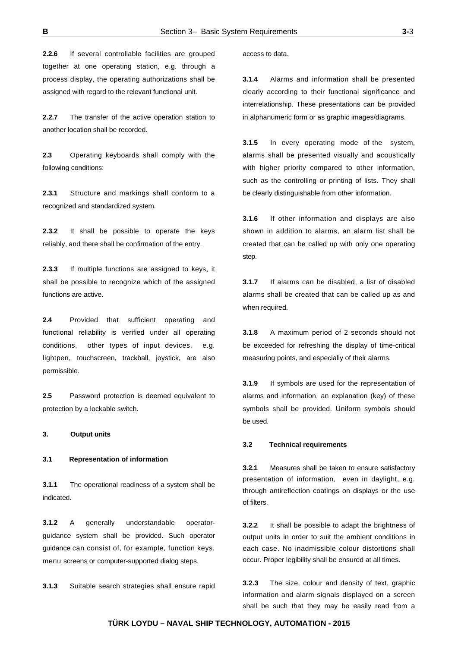**2.2.6** If several controllable facilities are grouped together at one operating station, e.g. through a process display, the operating authorizations shall be assigned with regard to the relevant functional unit.

**2.2.7** The transfer of the active operation station to another location shall be recorded.

**2.3** Operating keyboards shall comply with the following conditions:

**2.3.1** Structure and markings shall conform to a recognized and standardized system.

**2.3.2** It shall be possible to operate the keys reliably, and there shall be confirmation of the entry.

**2.3.3** If multiple functions are assigned to keys, it shall be possible to recognize which of the assigned functions are active.

**2.4** Provided that sufficient operating and functional reliability is verified under all operating conditions, other types of input devices, e.g. lightpen, touchscreen, trackball, joystick, are also permissible.

**2.5** Password protection is deemed equivalent to protection by a lockable switch.

#### **3. Output units**

#### **3.1 Representation of information**

**3.1.1** The operational readiness of a system shall be indicated.

**3.1.2** A generally understandable operatorguidance system shall be provided. Such operator guidance can consist of, for example, function keys, menu screens or computer-supported dialog steps.

**3.1.3** Suitable search strategies shall ensure rapid

access to data.

**3.1.4** Alarms and information shall be presented clearly according to their functional significance and interrelationship. These presentations can be provided in alphanumeric form or as graphic images/diagrams.

**3.1.5** In every operating mode of the system, alarms shall be presented visually and acoustically with higher priority compared to other information, such as the controlling or printing of lists. They shall be clearly distinguishable from other information.

**3.1.6** If other information and displays are also shown in addition to alarms, an alarm list shall be created that can be called up with only one operating step.

**3.1.7** If alarms can be disabled, a list of disabled alarms shall be created that can be called up as and when required.

**3.1.8** A maximum period of 2 seconds should not be exceeded for refreshing the display of time-critical measuring points, and especially of their alarms.

**3.1.9** If symbols are used for the representation of alarms and information, an explanation (key) of these symbols shall be provided. Uniform symbols should be used.

#### **3.2 Technical requirements**

**3.2.1** Measures shall be taken to ensure satisfactory presentation of information, even in daylight, e.g. through antireflection coatings on displays or the use of filters.

**3.2.2** It shall be possible to adapt the brightness of output units in order to suit the ambient conditions in each case. No inadmissible colour distortions shall occur. Proper legibility shall be ensured at all times.

**3.2.3** The size, colour and density of text, graphic information and alarm signals displayed on a screen shall be such that they may be easily read from a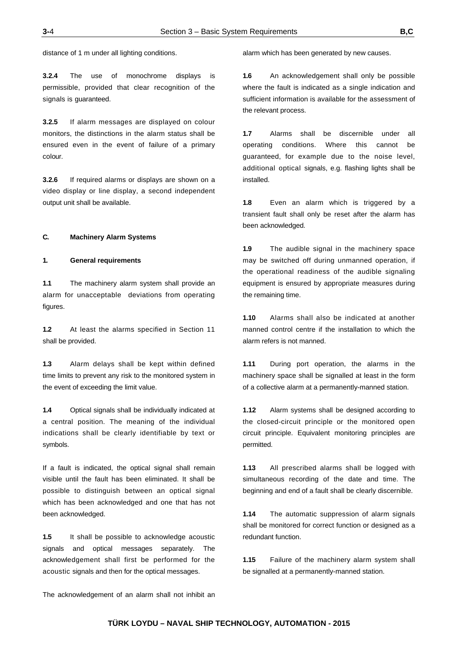distance of 1 m under all lighting conditions.

**3.2.4** The use of monochrome displays is permissible, provided that clear recognition of the signals is guaranteed.

**3.2.5** If alarm messages are displayed on colour monitors, the distinctions in the alarm status shall be ensured even in the event of failure of a primary colour.

**3.2.6** If required alarms or displays are shown on a video display or line display, a second independent output unit shall be available.

#### **C. Machinery Alarm Systems**

#### **1. General requirements**

**1.1** The machinery alarm system shall provide an alarm for unacceptable deviations from operating figures.

**1.2** At least the alarms specified in Section 11 shall be provided.

**1.3** Alarm delays shall be kept within defined time limits to prevent any risk to the monitored system in the event of exceeding the limit value.

**1.4** Optical signals shall be individually indicated at a central position. The meaning of the individual indications shall be clearly identifiable by text or symbols.

If a fault is indicated, the optical signal shall remain visible until the fault has been eliminated. It shall be possible to distinguish between an optical signal which has been acknowledged and one that has not been acknowledged.

**1.5** It shall be possible to acknowledge acoustic signals and optical messages separately. The acknowledgement shall first be performed for the acoustic signals and then for the optical messages.

alarm which has been generated by new causes.

**1.6** An acknowledgement shall only be possible where the fault is indicated as a single indication and sufficient information is available for the assessment of the relevant process.

**1.7** Alarms shall be discernible under all operating conditions. Where this cannot be guaranteed, for example due to the noise level, additional optical signals, e.g. flashing lights shall be installed.

**1.8** Even an alarm which is triggered by a transient fault shall only be reset after the alarm has been acknowledged.

**1.9** The audible signal in the machinery space may be switched off during unmanned operation, if the operational readiness of the audible signaling equipment is ensured by appropriate measures during the remaining time.

**1.10** Alarms shall also be indicated at another manned control centre if the installation to which the alarm refers is not manned.

**1.11** During port operation, the alarms in the machinery space shall be signalled at least in the form of a collective alarm at a permanently-manned station.

**1.12** Alarm systems shall be designed according to the closed-circuit principle or the monitored open circuit principle. Equivalent monitoring principles are permitted.

**1.13** All prescribed alarms shall be logged with simultaneous recording of the date and time. The beginning and end of a fault shall be clearly discernible.

**1.14** The automatic suppression of alarm signals shall be monitored for correct function or designed as a redundant function.

**1.15** Failure of the machinery alarm system shall be signalled at a permanently-manned station.

The acknowledgement of an alarm shall not inhibit an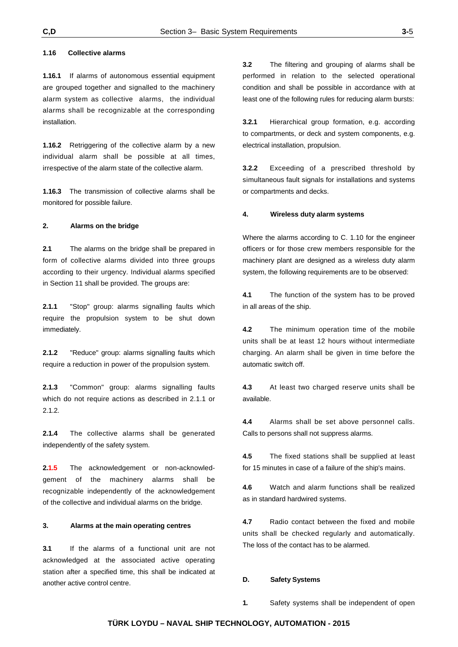#### **1.16 Collective alarms**

**1.16.1** If alarms of autonomous essential equipment are grouped together and signalled to the machinery alarm system as collective alarms, the individual alarms shall be recognizable at the corresponding installation.

**1.16.2** Retriggering of the collective alarm by a new individual alarm shall be possible at all times, irrespective of the alarm state of the collective alarm.

**1.16.3** The transmission of collective alarms shall be monitored for possible failure.

#### **2. Alarms on the bridge**

**2.1** The alarms on the bridge shall be prepared in form of collective alarms divided into three groups according to their urgency. Individual alarms specified in Section 11 shall be provided. The groups are:

**2.1.1** "Stop" group: alarms signalling faults which require the propulsion system to be shut down immediately.

**2.1.2** "Reduce" group: alarms signalling faults which require a reduction in power of the propulsion system.

**2.1.3** "Common" group: alarms signalling faults which do not require actions as described in 2.1.1 or 2.1.2.

**2.1.4** The collective alarms shall be generated independently of the safety system.

**2.1.5** The acknowledgement or non-acknowledgement of the machinery alarms shall be recognizable independently of the acknowledgement of the collective and individual alarms on the bridge.

#### **3. Alarms at the main operating centres**

**3.1** If the alarms of a functional unit are not acknowledged at the associated active operating station after a specified time, this shall be indicated at another active control centre.

**3.2** The filtering and grouping of alarms shall be performed in relation to the selected operational condition and shall be possible in accordance with at least one of the following rules for reducing alarm bursts:

**3.2.1** Hierarchical group formation, e.g. according to compartments, or deck and system components, e.g. electrical installation, propulsion.

**3.2.2** Exceeding of a prescribed threshold by simultaneous fault signals for installations and systems or compartments and decks.

#### **4. Wireless duty alarm systems**

Where the alarms according to C. 1.10 for the engineer officers or for those crew members responsible for the machinery plant are designed as a wireless duty alarm system, the following requirements are to be observed:

**4.1** The function of the system has to be proved in all areas of the ship.

**4.2** The minimum operation time of the mobile units shall be at least 12 hours without intermediate charging. An alarm shall be given in time before the automatic switch off.

**4.3** At least two charged reserve units shall be available.

**4.4** Alarms shall be set above personnel calls. Calls to persons shall not suppress alarms.

**4.5** The fixed stations shall be supplied at least for 15 minutes in case of a failure of the ship's mains.

**4.6** Watch and alarm functions shall be realized as in standard hardwired systems.

**4.7** Radio contact between the fixed and mobile units shall be checked regularly and automatically. The loss of the contact has to be alarmed.

#### **D. Safety Systems**

**1.** Safety systems shall be independent of open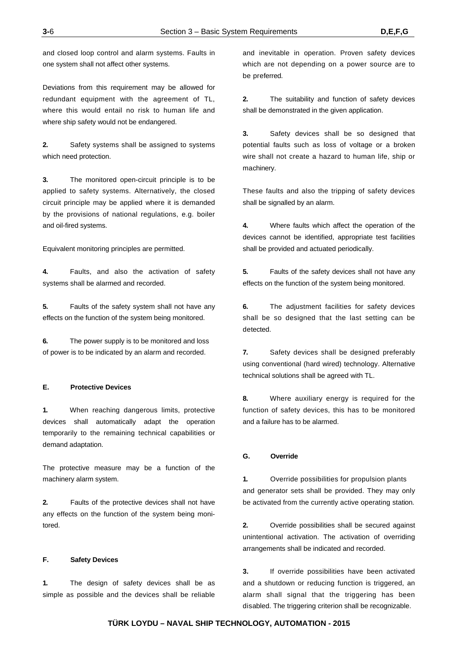and closed loop control and alarm systems. Faults in one system shall not affect other systems.

Deviations from this requirement may be allowed for redundant equipment with the agreement of TL, where this would entail no risk to human life and where ship safety would not be endangered.

**2.** Safety systems shall be assigned to systems which need protection.

**3.** The monitored open-circuit principle is to be applied to safety systems. Alternatively, the closed circuit principle may be applied where it is demanded by the provisions of national regulations, e.g. boiler and oil-fired systems.

Equivalent monitoring principles are permitted.

**4.** Faults, and also the activation of safety systems shall be alarmed and recorded.

**5.** Faults of the safety system shall not have any effects on the function of the system being monitored.

**6.** The power supply is to be monitored and loss of power is to be indicated by an alarm and recorded.

#### **E. Protective Devices**

**1.** When reaching dangerous limits, protective devices shall automatically adapt the operation temporarily to the remaining technical capabilities or demand adaptation.

The protective measure may be a function of the machinery alarm system.

**2.** Faults of the protective devices shall not have any effects on the function of the system being monitored.

#### **F. Safety Devices**

**1.** The design of safety devices shall be as simple as possible and the devices shall be reliable

and inevitable in operation. Proven safety devices which are not depending on a power source are to be preferred.

**2.** The suitability and function of safety devices shall be demonstrated in the given application.

**3.** Safety devices shall be so designed that potential faults such as loss of voltage or a broken wire shall not create a hazard to human life, ship or machinery.

These faults and also the tripping of safety devices shall be signalled by an alarm.

**4.** Where faults which affect the operation of the devices cannot be identified, appropriate test facilities shall be provided and actuated periodically.

**5.** Faults of the safety devices shall not have any effects on the function of the system being monitored.

**6.** The adjustment facilities for safety devices shall be so designed that the last setting can be detected.

**7.** Safety devices shall be designed preferably using conventional (hard wired) technology. Alternative technical solutions shall be agreed with TL.

**8.** Where auxiliary energy is required for the function of safety devices, this has to be monitored and a failure has to be alarmed.

#### **G. Override**

**1.** Override possibilities for propulsion plants and generator sets shall be provided. They may only be activated from the currently active operating station.

**2.** Override possibilities shall be secured against unintentional activation. The activation of overriding arrangements shall be indicated and recorded.

**3.** If override possibilities have been activated and a shutdown or reducing function is triggered, an alarm shall signal that the triggering has been disabled. The triggering criterion shall be recognizable.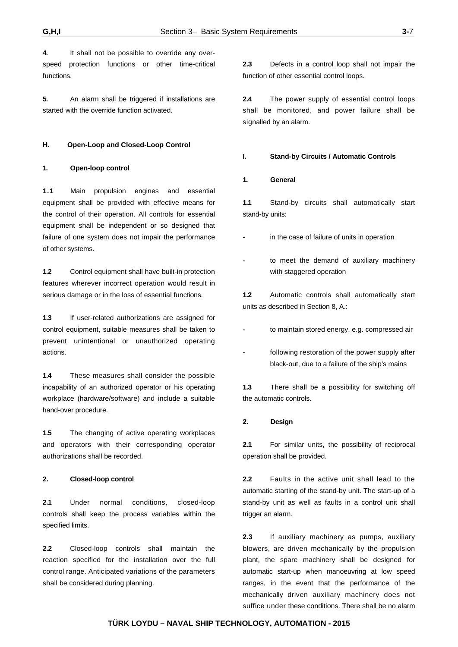**4.** It shall not be possible to override any overspeed protection functions or other time-critical functions.

**5.** An alarm shall be triggered if installations are started with the override function activated.

#### **H. Open-Loop and Closed-Loop Control**

#### **1. Open-loop control**

**1.1** Main propulsion engines and essential equipment shall be provided with effective means for the control of their operation. All controls for essential equipment shall be independent or so designed that failure of one system does not impair the performance of other systems.

**1.2** Control equipment shall have built-in protection features wherever incorrect operation would result in serious damage or in the loss of essential functions.

**1.3** If user-related authorizations are assigned for control equipment, suitable measures shall be taken to prevent unintentional or unauthorized operating actions.

**1.4** These measures shall consider the possible incapability of an authorized operator or his operating workplace (hardware/software) and include a suitable hand-over procedure.

**1.5** The changing of active operating workplaces and operators with their corresponding operator authorizations shall be recorded.

#### **2. Closed-loop control**

**2.1** Under normal conditions, closed-loop controls shall keep the process variables within the specified limits.

**2.2** Closed-loop controls shall maintain the reaction specified for the installation over the full control range. Anticipated variations of the parameters shall be considered during planning.

**2.3** Defects in a control loop shall not impair the function of other essential control loops.

**2.4** The power supply of essential control loops shall be monitored, and power failure shall be signalled by an alarm.

#### **I. Stand-by Circuits / Automatic Controls**

#### **1. General**

**1.1** Stand-by circuits shall automatically start stand-by units:

- in the case of failure of units in operation
- to meet the demand of auxiliary machinery with staggered operation

**1.2** Automatic controls shall automatically start units as described in Section 8, A.:

- to maintain stored energy, e.g. compressed air
- following restoration of the power supply after black-out, due to a failure of the ship's mains

**1.3** There shall be a possibility for switching off the automatic controls.

### **2. Design**

**2.1** For similar units, the possibility of reciprocal operation shall be provided.

**2.2** Faults in the active unit shall lead to the automatic starting of the stand-by unit. The start-up of a stand-by unit as well as faults in a control unit shall trigger an alarm.

**2.3** If auxiliary machinery as pumps, auxiliary blowers, are driven mechanically by the propulsion plant, the spare machinery shall be designed for automatic start-up when manoeuvring at low speed ranges, in the event that the performance of the mechanically driven auxiliary machinery does not suffice under these conditions. There shall be no alarm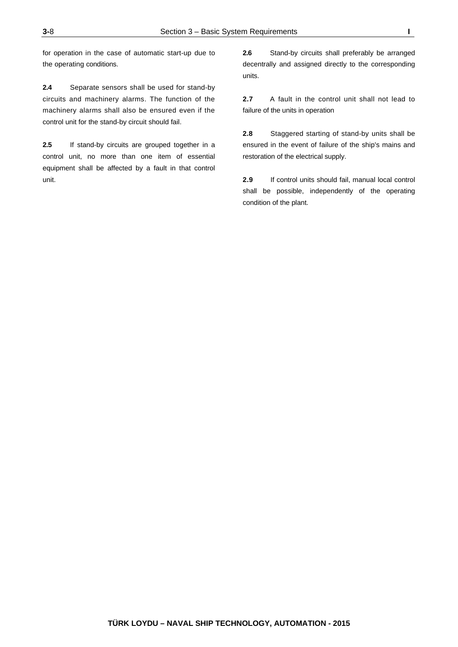for operation in the case of automatic start-up due to the operating conditions.

**2.4** Separate sensors shall be used for stand-by circuits and machinery alarms. The function of the machinery alarms shall also be ensured even if the control unit for the stand-by circuit should fail.

**2.5** If stand-by circuits are grouped together in a control unit, no more than one item of essential equipment shall be affected by a fault in that control unit.

**2.6** Stand-by circuits shall preferably be arranged decentrally and assigned directly to the corresponding units.

**2.7** A fault in the control unit shall not lead to failure of the units in operation

**2.8** Staggered starting of stand-by units shall be ensured in the event of failure of the ship's mains and restoration of the electrical supply.

**2.9** If control units should fail, manual local control shall be possible, independently of the operating condition of the plant.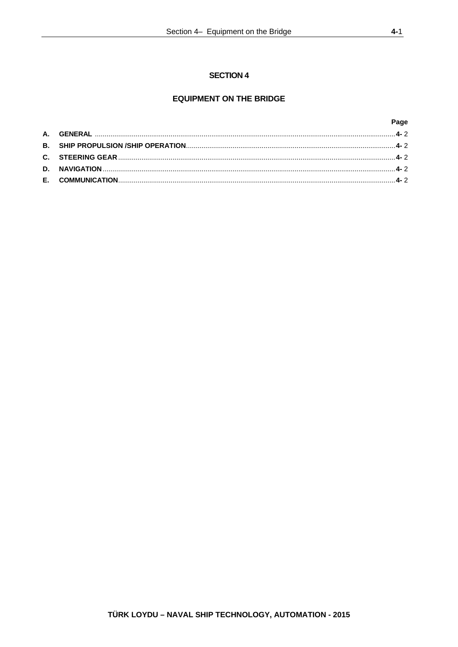### **SECTION 4**

# **EQUIPMENT ON THE BRIDGE**

Page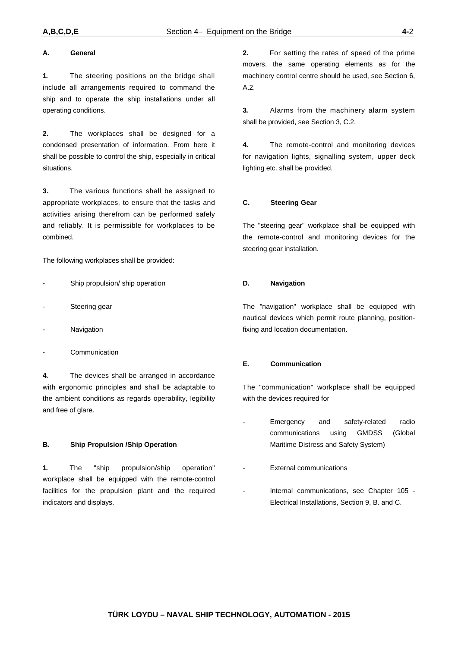#### **A. General**

**1.** The steering positions on the bridge shall include all arrangements required to command the ship and to operate the ship installations under all operating conditions.

**2.** The workplaces shall be designed for a condensed presentation of information. From here it shall be possible to control the ship, especially in critical situations.

**3.** The various functions shall be assigned to appropriate workplaces, to ensure that the tasks and activities arising therefrom can be performed safely and reliably. It is permissible for workplaces to be combined.

The following workplaces shall be provided:

- Ship propulsion/ ship operation
- Steering gear
- **Navigation**
- **Communication**

**4.** The devices shall be arranged in accordance with ergonomic principles and shall be adaptable to the ambient conditions as regards operability, legibility and free of glare.

#### **B. Ship Propulsion /Ship Operation**

**1.** The "ship propulsion/ship operation" workplace shall be equipped with the remote-control facilities for the propulsion plant and the required indicators and displays.

**2.** For setting the rates of speed of the prime movers, the same operating elements as for the machinery control centre should be used, see Section 6, A.2.

**3.** Alarms from the machinery alarm system shall be provided, see Section 3, C.2.

**4.** The remote-control and monitoring devices for navigation lights, signalling system, upper deck lighting etc. shall be provided.

#### **C. Steering Gear**

The "steering gear" workplace shall be equipped with the remote-control and monitoring devices for the steering gear installation.

#### **D. Navigation**

The "navigation" workplace shall be equipped with nautical devices which permit route planning, positionfixing and location documentation.

#### **E. Communication**

The "communication" workplace shall be equipped with the devices required for

- Emergency and safety-related radio communications using GMDSS (Global Maritime Distress and Safety System)
- External communications
- Internal communications, see Chapter 105 -Electrical Installations, Section 9, B. and C.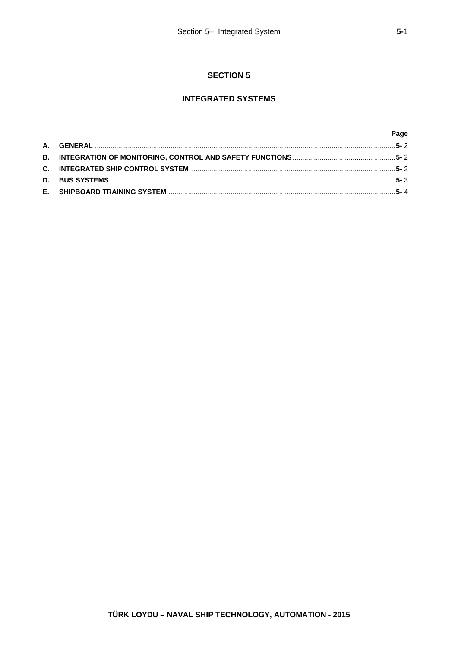# **SECTION 5**

# **INTEGRATED SYSTEMS**

|  | Page |
|--|------|
|  |      |
|  |      |
|  |      |
|  |      |
|  |      |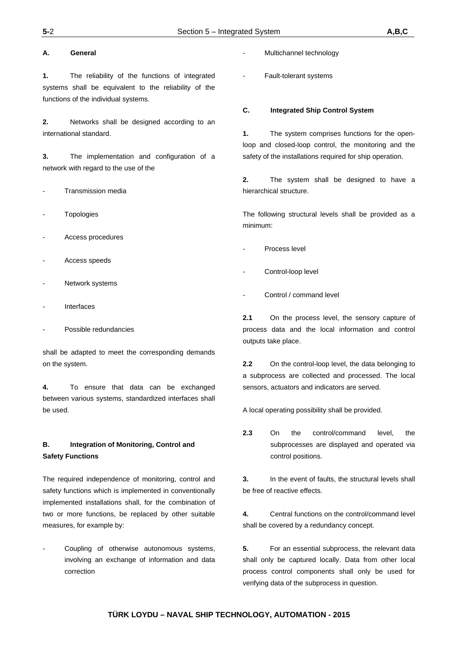#### **A. General**

**1.** The reliability of the functions of integrated systems shall be equivalent to the reliability of the functions of the individual systems.

**2.** Networks shall be designed according to an international standard.

**3.** The implementation and configuration of a network with regard to the use of the

- Transmission media
- **Topologies**
- Access procedures
- Access speeds
- Network systems
- **Interfaces**
- Possible redundancies

shall be adapted to meet the corresponding demands on the system.

**4.** To ensure that data can be exchanged between various systems, standardized interfaces shall be used.

# **B. Integration of Monitoring, Control and Safety Functions**

The required independence of monitoring, control and safety functions which is implemented in conventionally implemented installations shall, for the combination of two or more functions, be replaced by other suitable measures, for example by:

Coupling of otherwise autonomous systems, involving an exchange of information and data correction

- Multichannel technology
- Fault-tolerant systems

#### **C. Integrated Ship Control System**

**1.** The system comprises functions for the openloop and closed-loop control, the monitoring and the safety of the installations required for ship operation.

**2.** The system shall be designed to have a hierarchical structure.

The following structural levels shall be provided as a minimum:

- Process level
- Control-loop level
- Control / command level

**2.1** On the process level, the sensory capture of process data and the local information and control outputs take place.

**2.2** On the control-loop level, the data belonging to a subprocess are collected and processed. The local sensors, actuators and indicators are served.

A local operating possibility shall be provided.

**2.3** On the control/command level, the subprocesses are displayed and operated via control positions.

**3.** In the event of faults, the structural levels shall be free of reactive effects.

**4.** Central functions on the control/command level shall be covered by a redundancy concept.

**5.** For an essential subprocess, the relevant data shall only be captured locally. Data from other local process control components shall only be used for verifying data of the subprocess in question.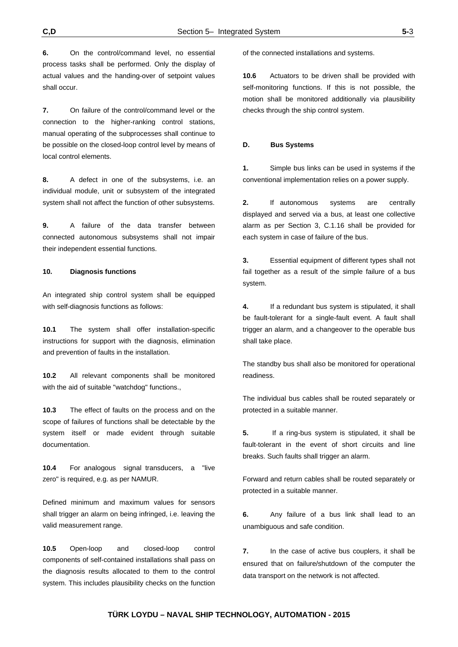**6.** On the control/command level, no essential process tasks shall be performed. Only the display of actual values and the handing-over of setpoint values shall occur.

**7.** On failure of the control/command level or the connection to the higher-ranking control stations, manual operating of the subprocesses shall continue to be possible on the closed-loop control level by means of local control elements.

**8.** A defect in one of the subsystems, i.e. an individual module, unit or subsystem of the integrated system shall not affect the function of other subsystems.

**9.** A failure of the data transfer between connected autonomous subsystems shall not impair their independent essential functions.

#### **10. Diagnosis functions**

An integrated ship control system shall be equipped with self-diagnosis functions as follows:

**10.1** The system shall offer installation-specific instructions for support with the diagnosis, elimination and prevention of faults in the installation.

**10.2** All relevant components shall be monitored with the aid of suitable "watchdog" functions.,

**10.3** The effect of faults on the process and on the scope of failures of functions shall be detectable by the system itself or made evident through suitable documentation.

**10.4** For analogous signal transducers, a "live zero" is required, e.g. as per NAMUR.

Defined minimum and maximum values for sensors shall trigger an alarm on being infringed, i.e. leaving the valid measurement range.

**10.5** Open-loop and closed-loop control components of self-contained installations shall pass on the diagnosis results allocated to them to the control system. This includes plausibility checks on the function of the connected installations and systems.

**10.6** Actuators to be driven shall be provided with self-monitoring functions. If this is not possible, the motion shall be monitored additionally via plausibility checks through the ship control system.

#### **D. Bus Systems**

**1.** Simple bus links can be used in systems if the conventional implementation relies on a power supply.

**2.** If autonomous systems are centrally displayed and served via a bus, at least one collective alarm as per Section 3, C.1.16 shall be provided for each system in case of failure of the bus.

**3.** Essential equipment of different types shall not fail together as a result of the simple failure of a bus system.

**4.** If a redundant bus system is stipulated, it shall be fault-tolerant for a single-fault event. A fault shall trigger an alarm, and a changeover to the operable bus shall take place.

The standby bus shall also be monitored for operational readiness.

The individual bus cables shall be routed separately or protected in a suitable manner.

**5.** If a ring-bus system is stipulated, it shall be fault-tolerant in the event of short circuits and line breaks. Such faults shall trigger an alarm.

Forward and return cables shall be routed separately or protected in a suitable manner.

**6.** Any failure of a bus link shall lead to an unambiguous and safe condition.

**7.** In the case of active bus couplers, it shall be ensured that on failure/shutdown of the computer the data transport on the network is not affected.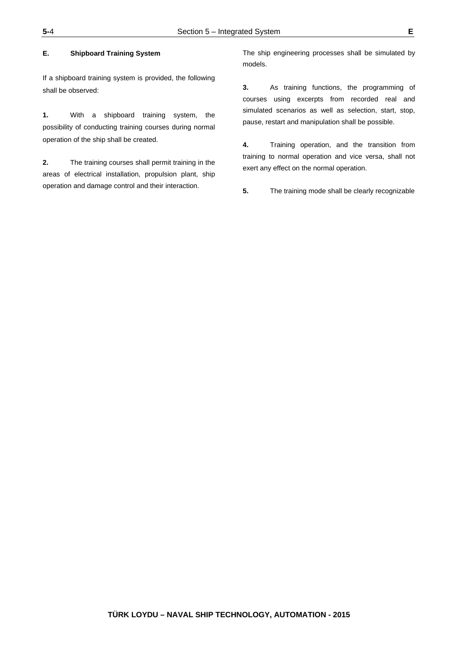#### **E. Shipboard Training System**

If a shipboard training system is provided, the following shall be observed:

**1.** With a shipboard training system, the possibility of conducting training courses during normal operation of the ship shall be created.

**2.** The training courses shall permit training in the areas of electrical installation, propulsion plant, ship operation and damage control and their interaction.

The ship engineering processes shall be simulated by models.

**3.** As training functions, the programming of courses using excerpts from recorded real and simulated scenarios as well as selection, start, stop, pause, restart and manipulation shall be possible.

**4.** Training operation, and the transition from training to normal operation and vice versa, shall not exert any effect on the normal operation.

**5.** The training mode shall be clearly recognizable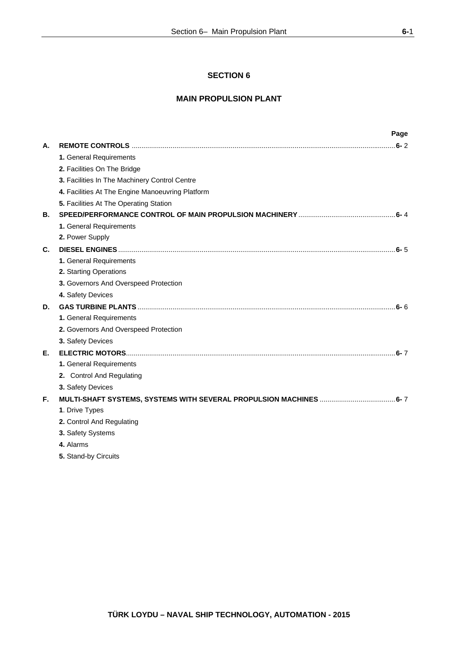# **SECTION 6**

# **MAIN PROPULSION PLANT**

|    |                                                  | Page |
|----|--------------------------------------------------|------|
| А. |                                                  |      |
|    | 1. General Requirements                          |      |
|    | 2. Facilities On The Bridge                      |      |
|    | 3. Facilities In The Machinery Control Centre    |      |
|    | 4. Facilities At The Engine Manoeuvring Platform |      |
|    | 5. Facilities At The Operating Station           |      |
| В. |                                                  |      |
|    | 1. General Requirements                          |      |
|    | 2. Power Supply                                  |      |
| C. |                                                  |      |
|    | 1. General Requirements                          |      |
|    | 2. Starting Operations                           |      |
|    | 3. Governors And Overspeed Protection            |      |
|    | 4. Safety Devices                                |      |
| D. |                                                  |      |
|    | 1. General Requirements                          |      |
|    | 2. Governors And Overspeed Protection            |      |
|    | 3. Safety Devices                                |      |
| Е. |                                                  |      |
|    | 1. General Requirements                          |      |
|    | 2. Control And Regulating                        |      |
|    | 3. Safety Devices                                |      |
| F. |                                                  |      |
|    | 1. Drive Types                                   |      |
|    | 2. Control And Regulating                        |      |
|    | 3. Safety Systems                                |      |
|    | 4. Alarms                                        |      |

**5.** Stand-by Circuits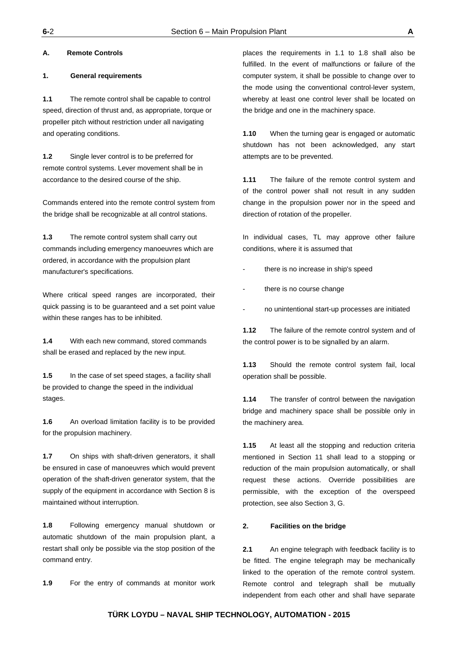#### **A. Remote Controls**

#### **1. General requirements**

**1.1** The remote control shall be capable to control speed, direction of thrust and, as appropriate, torque or propeller pitch without restriction under all navigating and operating conditions.

**1.2** Single lever control is to be preferred for remote control systems. Lever movement shall be in accordance to the desired course of the ship.

Commands entered into the remote control system from the bridge shall be recognizable at all control stations.

**1.3** The remote control system shall carry out commands including emergency manoeuvres which are ordered, in accordance with the propulsion plant manufacturer's specifications.

Where critical speed ranges are incorporated, their quick passing is to be guaranteed and a set point value within these ranges has to be inhibited.

**1.4** With each new command, stored commands shall be erased and replaced by the new input.

**1.5** In the case of set speed stages, a facility shall be provided to change the speed in the individual stages.

**1.6** An overload limitation facility is to be provided for the propulsion machinery.

**1.7** On ships with shaft-driven generators, it shall be ensured in case of manoeuvres which would prevent operation of the shaft-driven generator system, that the supply of the equipment in accordance with Section 8 is maintained without interruption.

**1.8** Following emergency manual shutdown or automatic shutdown of the main propulsion plant, a restart shall only be possible via the stop position of the command entry.

**1.9** For the entry of commands at monitor work

places the requirements in 1.1 to 1.8 shall also be fulfilled. In the event of malfunctions or failure of the computer system, it shall be possible to change over to the mode using the conventional control-lever system, whereby at least one control lever shall be located on the bridge and one in the machinery space.

**1.10** When the turning gear is engaged or automatic shutdown has not been acknowledged, any start attempts are to be prevented.

**1.11** The failure of the remote control system and of the control power shall not result in any sudden change in the propulsion power nor in the speed and direction of rotation of the propeller.

In individual cases, TL may approve other failure conditions, where it is assumed that

- there is no increase in ship's speed
- there is no course change
- no unintentional start-up processes are initiated

**1.12** The failure of the remote control system and of the control power is to be signalled by an alarm.

**1.13** Should the remote control system fail, local operation shall be possible.

**1.14** The transfer of control between the navigation bridge and machinery space shall be possible only in the machinery area.

**1.15** At least all the stopping and reduction criteria mentioned in Section 11 shall lead to a stopping or reduction of the main propulsion automatically, or shall request these actions. Override possibilities are permissible, with the exception of the overspeed protection, see also Section 3, G.

#### **2. Facilities on the bridge**

**2.1** An engine telegraph with feedback facility is to be fitted. The engine telegraph may be mechanically linked to the operation of the remote control system. Remote control and telegraph shall be mutually independent from each other and shall have separate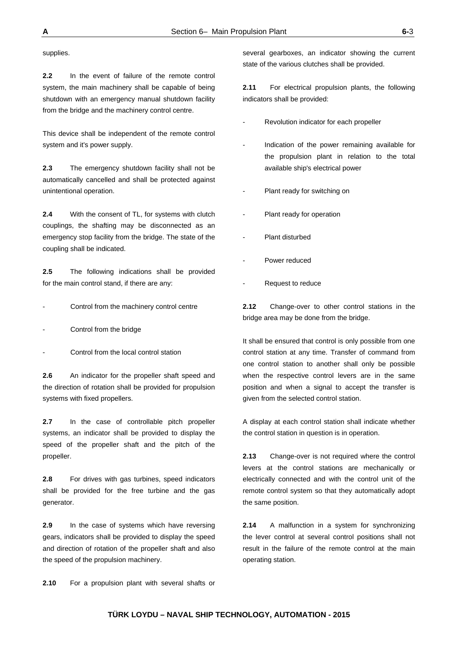supplies.

**2.2** In the event of failure of the remote control system, the main machinery shall be capable of being shutdown with an emergency manual shutdown facility from the bridge and the machinery control centre.

This device shall be independent of the remote control system and it's power supply.

**2.3** The emergency shutdown facility shall not be automatically cancelled and shall be protected against unintentional operation.

**2.4** With the consent of TL, for systems with clutch couplings, the shafting may be disconnected as an emergency stop facility from the bridge. The state of the coupling shall be indicated.

**2.5** The following indications shall be provided for the main control stand, if there are any:

Control from the machinery control centre

- Control from the bridge
- Control from the local control station

**2.6** An indicator for the propeller shaft speed and the direction of rotation shall be provided for propulsion systems with fixed propellers.

**2.7** In the case of controllable pitch propeller systems, an indicator shall be provided to display the speed of the propeller shaft and the pitch of the propeller.

**2.8** For drives with gas turbines, speed indicators shall be provided for the free turbine and the gas generator.

**2.9** In the case of systems which have reversing gears, indicators shall be provided to display the speed and direction of rotation of the propeller shaft and also the speed of the propulsion machinery.

several gearboxes, an indicator showing the current state of the various clutches shall be provided.

**2.11** For electrical propulsion plants, the following indicators shall be provided:

- Revolution indicator for each propeller
- Indication of the power remaining available for the propulsion plant in relation to the total available ship's electrical power
- Plant ready for switching on
- Plant ready for operation
- Plant disturbed
- Power reduced
- Request to reduce

**2.12** Change-over to other control stations in the bridge area may be done from the bridge.

It shall be ensured that control is only possible from one control station at any time. Transfer of command from one control station to another shall only be possible when the respective control levers are in the same position and when a signal to accept the transfer is given from the selected control station.

A display at each control station shall indicate whether the control station in question is in operation.

**2.13** Change-over is not required where the control levers at the control stations are mechanically or electrically connected and with the control unit of the remote control system so that they automatically adopt the same position.

**2.14** A malfunction in a system for synchronizing the lever control at several control positions shall not result in the failure of the remote control at the main operating station.

**2.10** For a propulsion plant with several shafts or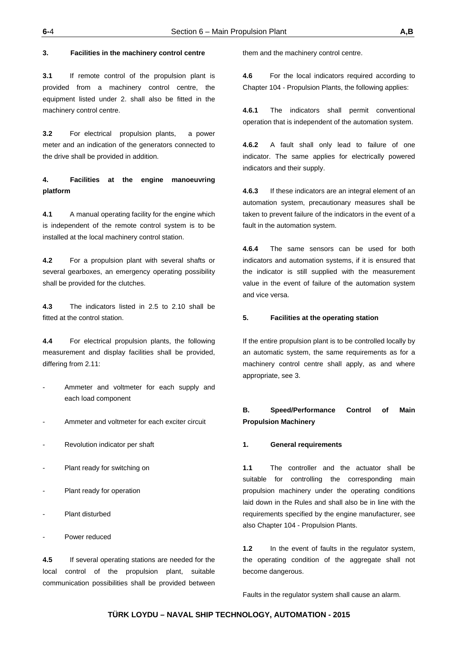#### **3. Facilities in the machinery control centre**

**3.1** If remote control of the propulsion plant is provided from a machinery control centre, the equipment listed under 2. shall also be fitted in the machinery control centre.

**3.2** For electrical propulsion plants, a power meter and an indication of the generators connected to the drive shall be provided in addition.

**4. Facilities at the engine manoeuvring platform** 

**4.1** A manual operating facility for the engine which is independent of the remote control system is to be installed at the local machinery control station.

**4.2** For a propulsion plant with several shafts or several gearboxes, an emergency operating possibility shall be provided for the clutches.

**4.3** The indicators listed in 2.5 to 2.10 shall be fitted at the control station.

**4.4** For electrical propulsion plants, the following measurement and display facilities shall be provided, differing from 2.11:

- Ammeter and voltmeter for each supply and each load component
- Ammeter and voltmeter for each exciter circuit
- Revolution indicator per shaft
- Plant ready for switching on
- Plant ready for operation
- Plant disturbed
- Power reduced

**4.5** If several operating stations are needed for the local control of the propulsion plant, suitable communication possibilities shall be provided between

them and the machinery control centre.

**4.6** For the local indicators required according to Chapter 104 - Propulsion Plants, the following applies:

**4.6.1** The indicators shall permit conventional operation that is independent of the automation system.

**4.6.2** A fault shall only lead to failure of one indicator. The same applies for electrically powered indicators and their supply.

**4.6.3** If these indicators are an integral element of an automation system, precautionary measures shall be taken to prevent failure of the indicators in the event of a fault in the automation system.

**4.6.4** The same sensors can be used for both indicators and automation systems, if it is ensured that the indicator is still supplied with the measurement value in the event of failure of the automation system and vice versa.

#### **5. Facilities at the operating station**

If the entire propulsion plant is to be controlled locally by an automatic system, the same requirements as for a machinery control centre shall apply, as and where appropriate, see 3.

# **B. Speed/Performance Control of Main Propulsion Machinery**

#### **1. General requirements**

**1.1** The controller and the actuator shall be suitable for controlling the corresponding main propulsion machinery under the operating conditions laid down in the Rules and shall also be in line with the requirements specified by the engine manufacturer, see also Chapter 104 - Propulsion Plants.

**1.2** In the event of faults in the regulator system, the operating condition of the aggregate shall not become dangerous.

Faults in the regulator system shall cause an alarm.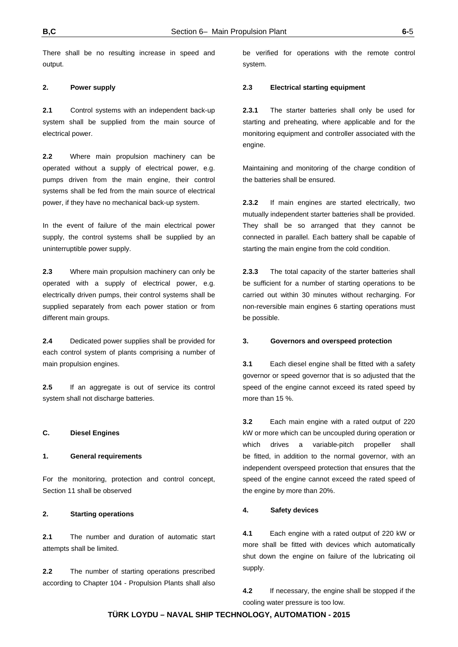There shall be no resulting increase in speed and output.

### **2. Power supply**

**2.1** Control systems with an independent back-up system shall be supplied from the main source of electrical power.

**2.2** Where main propulsion machinery can be operated without a supply of electrical power, e.g. pumps driven from the main engine, their control systems shall be fed from the main source of electrical power, if they have no mechanical back-up system.

In the event of failure of the main electrical power supply, the control systems shall be supplied by an uninterruptible power supply.

**2.3** Where main propulsion machinery can only be operated with a supply of electrical power, e.g. electrically driven pumps, their control systems shall be supplied separately from each power station or from different main groups.

**2.4** Dedicated power supplies shall be provided for each control system of plants comprising a number of main propulsion engines.

**2.5** If an aggregate is out of service its control system shall not discharge batteries.

#### **C. Diesel Engines**

#### **1. General requirements**

For the monitoring, protection and control concept, Section 11 shall be observed

#### **2. Starting operations**

**2.1** The number and duration of automatic start attempts shall be limited.

**2.2** The number of starting operations prescribed according to Chapter 104 - Propulsion Plants shall also be verified for operations with the remote control system.

#### **2.3 Electrical starting equipment**

**2.3.1** The starter batteries shall only be used for starting and preheating, where applicable and for the monitoring equipment and controller associated with the engine.

Maintaining and monitoring of the charge condition of the batteries shall be ensured.

**2.3.2** If main engines are started electrically, two mutually independent starter batteries shall be provided. They shall be so arranged that they cannot be connected in parallel. Each battery shall be capable of starting the main engine from the cold condition.

**2.3.3** The total capacity of the starter batteries shall be sufficient for a number of starting operations to be carried out within 30 minutes without recharging. For non-reversible main engines 6 starting operations must be possible.

#### **3. Governors and overspeed protection**

**3.1** Each diesel engine shall be fitted with a safety governor or speed governor that is so adjusted that the speed of the engine cannot exceed its rated speed by more than 15 %.

**3.2** Each main engine with a rated output of 220 kW or more which can be uncoupled during operation or which drives a variable-pitch propeller shall be fitted, in addition to the normal governor, with an independent overspeed protection that ensures that the speed of the engine cannot exceed the rated speed of the engine by more than 20%.

#### **4. Safety devices**

**4.1** Each engine with a rated output of 220 kW or more shall be fitted with devices which automatically shut down the engine on failure of the lubricating oil supply.

**4.2** If necessary, the engine shall be stopped if the cooling water pressure is too low.

# **TÜRK LOYDU – NAVAL SHIP TECHNOLOGY, AUTOMATION - 2015**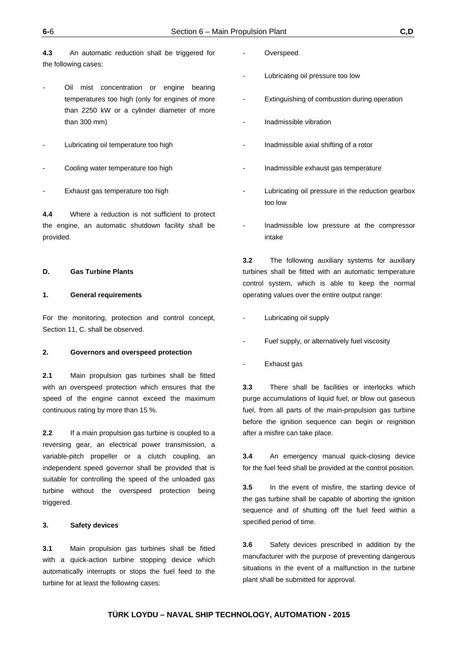**4.3** An automatic reduction shall be triggered for the following cases:

- Oil mist concentration or engine bearing temperatures too high (only for engines of more than 2250 kW or a cylinder diameter of more than 300 mm)
- Lubricating oil temperature too high
- Cooling water temperature too high
- Exhaust gas temperature too high

**4.4** Where a reduction is not sufficient to protect the engine, an automatic shutdown facility shall be provided.

#### **D. Gas Turbine Plants**

#### **1. General requirements**

For the monitoring, protection and control concept, Section 11, C. shall be observed.

#### **2. Governors and overspeed protection**

**2.1** Main propulsion gas turbines shall be fitted with an overspeed protection which ensures that the speed of the engine cannot exceed the maximum continuous rating by more than 15 %.

**2.2** If a main propulsion gas turbine is coupled to a reversing gear, an electrical power transmission, a variable-pitch propeller or a clutch coupling, an independent speed governor shall be provided that is suitable for controlling the speed of the unloaded gas turbine without the overspeed protection being triggered.

#### **3. Safety devices**

**3.1** Main propulsion gas turbines shall be fitted with a quick-action turbine stopping device which automatically interrupts or stops the fuel feed to the turbine for at least the following cases:

- **Overspeed**
- Lubricating oil pressure too low
- Extinguishing of combustion during operation
- Inadmissible vibration
- Inadmissible axial shifting of a rotor
- Inadmissible exhaust gas temperature
- Lubricating oil pressure in the reduction gearbox too low
- Inadmissible low pressure at the compressor intake

**3.2** The following auxiliary systems for auxiliary turbines shall be fitted with an automatic temperature control system, which is able to keep the normal operating values over the entire output range:

- Lubricating oil supply
- Fuel supply, or alternatively fuel viscosity
- Exhaust gas

**3.3** There shall be facilities or interlocks which purge accumulations of liquid fuel, or blow out gaseous fuel, from all parts of the main-propulsion gas turbine before the ignition sequence can begin or reignition after a misfire can take place.

**3.4** An emergency manual quick-closing device for the fuel feed shall be provided at the control position.

**3.5** In the event of misfire, the starting device of the gas turbine shall be capable of aborting the ignition sequence and of shutting off the fuel feed within a specified period of time.

**3.6** Safety devices prescribed in addition by the manufacturer with the purpose of preventing dangerous situations in the event of a malfunction in the turbine plant shall be submitted for approval.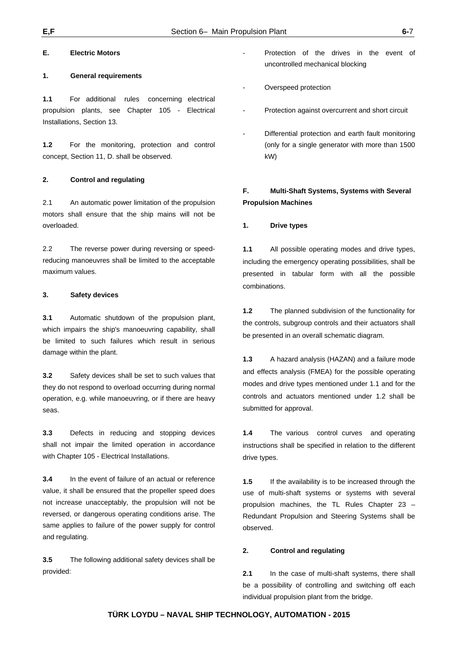#### **E. Electric Motors**

#### **1. General requirements**

**1.1** For additional rules concerning electrical propulsion plants, see Chapter 105 - Electrical Installations, Section 13.

**1.2** For the monitoring, protection and control concept, Section 11, D. shall be observed.

#### **2. Control and regulating**

2.1 An automatic power limitation of the propulsion motors shall ensure that the ship mains will not be overloaded.

2.2 The reverse power during reversing or speedreducing manoeuvres shall be limited to the acceptable maximum values.

#### **3. Safety devices**

**3.1** Automatic shutdown of the propulsion plant, which impairs the ship's manoeuvring capability, shall be limited to such failures which result in serious damage within the plant.

**3.2** Safety devices shall be set to such values that they do not respond to overload occurring during normal operation, e.g. while manoeuvring, or if there are heavy seas.

**3.3** Defects in reducing and stopping devices shall not impair the limited operation in accordance with Chapter 105 - Electrical Installations.

**3.4** In the event of failure of an actual or reference value, it shall be ensured that the propeller speed does not increase unacceptably, the propulsion will not be reversed, or dangerous operating conditions arise. The same applies to failure of the power supply for control and regulating.

**3.5** The following additional safety devices shall be provided:

- Protection of the drives in the event of uncontrolled mechanical blocking
- Overspeed protection
- Protection against overcurrent and short circuit
- Differential protection and earth fault monitoring (only for a single generator with more than 1500 kW)

# **F. Multi-Shaft Systems, Systems with Several Propulsion Machines**

#### **1. Drive types**

**1.1** All possible operating modes and drive types, including the emergency operating possibilities, shall be presented in tabular form with all the possible combinations.

**1.2** The planned subdivision of the functionality for the controls, subgroup controls and their actuators shall be presented in an overall schematic diagram.

**1.3** A hazard analysis (HAZAN) and a failure mode and effects analysis (FMEA) for the possible operating modes and drive types mentioned under 1.1 and for the controls and actuators mentioned under 1.2 shall be submitted for approval.

**1.4** The various control curves and operating instructions shall be specified in relation to the different drive types.

**1.5** If the availability is to be increased through the use of multi-shaft systems or systems with several propulsion machines, the TL Rules Chapter 23 – Redundant Propulsion and Steering Systems shall be observed.

### **2. Control and regulating**

**2.1** In the case of multi-shaft systems, there shall be a possibility of controlling and switching off each individual propulsion plant from the bridge.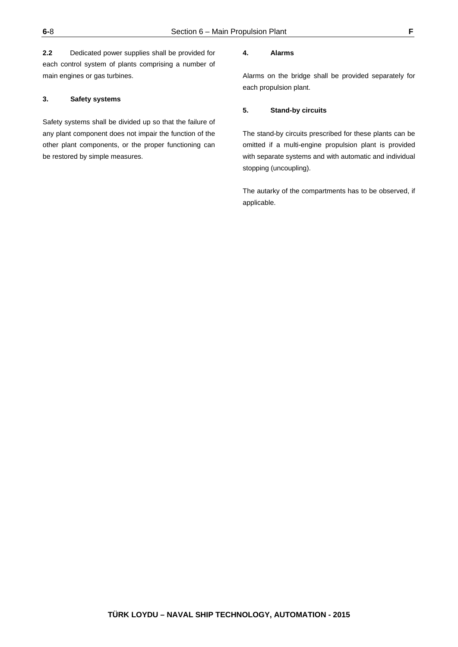**2.2** Dedicated power supplies shall be provided for each control system of plants comprising a number of main engines or gas turbines.

#### **3. Safety systems**

Safety systems shall be divided up so that the failure of any plant component does not impair the function of the other plant components, or the proper functioning can be restored by simple measures.

#### **4. Alarms**

Alarms on the bridge shall be provided separately for each propulsion plant.

#### **5. Stand-by circuits**

The stand-by circuits prescribed for these plants can be omitted if a multi-engine propulsion plant is provided with separate systems and with automatic and individual stopping (uncoupling).

The autarky of the compartments has to be observed, if applicable.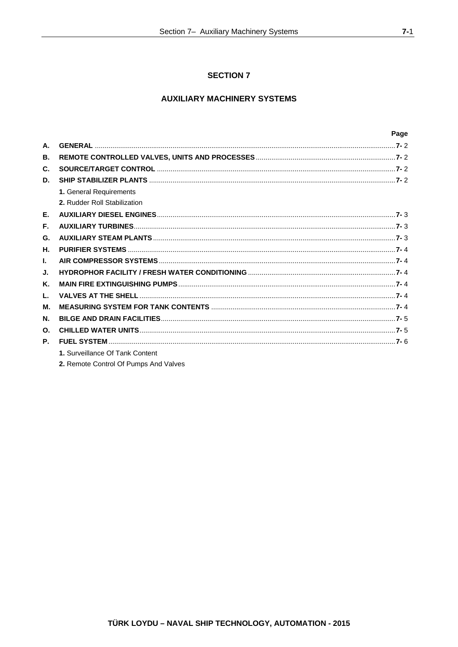# **SECTION 7**

# **AUXILIARY MACHINERY SYSTEMS**

|                |                                 | Page |
|----------------|---------------------------------|------|
| А.             |                                 |      |
| В.             |                                 |      |
| C.             |                                 |      |
| D.             |                                 |      |
|                | 1. General Requirements         |      |
|                | 2. Rudder Roll Stabilization    |      |
| Е.             |                                 |      |
| F.             |                                 |      |
| G.             |                                 |      |
| Н.             |                                 |      |
| L.             |                                 |      |
| J.             |                                 |      |
| Κ.             |                                 |      |
| L.             |                                 |      |
| М.             |                                 |      |
| N.             |                                 |      |
| $\mathbf{O}$ . |                                 |      |
| P.             |                                 |      |
|                | 1. Surveillance Of Tank Content |      |
|                |                                 |      |

2. Remote Control Of Pumps And Valves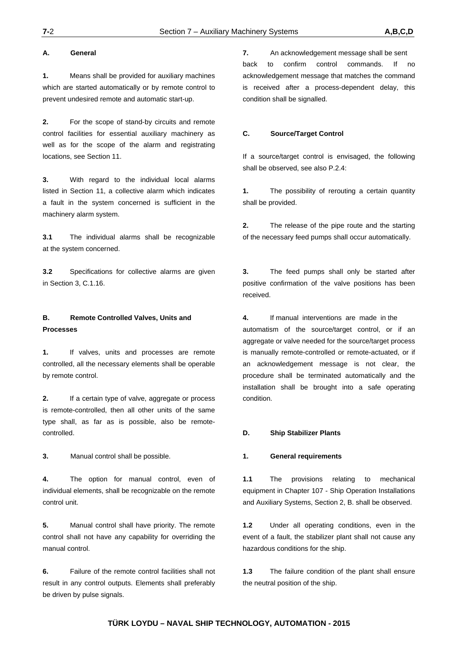#### **A. General**

**1.** Means shall be provided for auxiliary machines which are started automatically or by remote control to prevent undesired remote and automatic start-up.

**2.** For the scope of stand-by circuits and remote control facilities for essential auxiliary machinery as well as for the scope of the alarm and registrating locations, see Section 11.

**3.** With regard to the individual local alarms listed in Section 11, a collective alarm which indicates a fault in the system concerned is sufficient in the machinery alarm system.

**3.1** The individual alarms shall be recognizable at the system concerned.

**3.2** Specifications for collective alarms are given in Section 3, C.1.16.

# **B. Remote Controlled Valves, Units and Processes**

**1.** If valves, units and processes are remote controlled, all the necessary elements shall be operable by remote control.

**2.** If a certain type of valve, aggregate or process is remote-controlled, then all other units of the same type shall, as far as is possible, also be remotecontrolled.

**3.** Manual control shall be possible.

**4.** The option for manual control, even of individual elements, shall be recognizable on the remote control unit.

**5.** Manual control shall have priority. The remote control shall not have any capability for overriding the manual control.

**6.** Failure of the remote control facilities shall not result in any control outputs. Elements shall preferably be driven by pulse signals.

**7.** An acknowledgement message shall be sent back to confirm control commands. If no acknowledgement message that matches the command is received after a process-dependent delay, this condition shall be signalled.

#### **C. Source/Target Control**

If a source/target control is envisaged, the following shall be observed, see also P.2.4:

**1.** The possibility of rerouting a certain quantity shall be provided.

**2.** The release of the pipe route and the starting of the necessary feed pumps shall occur automatically.

**3.** The feed pumps shall only be started after positive confirmation of the valve positions has been received.

**4.** If manual interventions are made in the automatism of the source/target control, or if an aggregate or valve needed for the source/target process is manually remote-controlled or remote-actuated, or if an acknowledgement message is not clear, the procedure shall be terminated automatically and the installation shall be brought into a safe operating condition.

#### **D. Ship Stabilizer Plants**

#### **1. General requirements**

**1.1** The provisions relating to mechanical equipment in Chapter 107 - Ship Operation Installations and Auxiliary Systems, Section 2, B. shall be observed.

**1.2** Under all operating conditions, even in the event of a fault, the stabilizer plant shall not cause any hazardous conditions for the ship.

**1.3** The failure condition of the plant shall ensure the neutral position of the ship.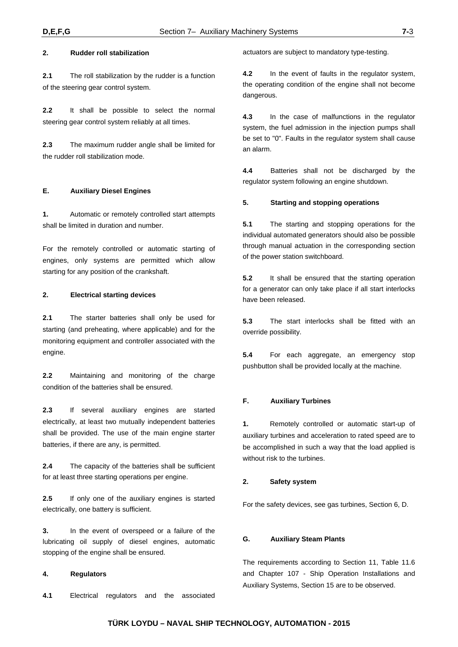**2.1** The roll stabilization by the rudder is a function of the steering gear control system.

**2.2** It shall be possible to select the normal steering gear control system reliably at all times.

**2.3** The maximum rudder angle shall be limited for the rudder roll stabilization mode.

#### **E. Auxiliary Diesel Engines**

**1.** Automatic or remotely controlled start attempts shall be limited in duration and number.

For the remotely controlled or automatic starting of engines, only systems are permitted which allow starting for any position of the crankshaft.

#### **2. Electrical starting devices**

**2.1** The starter batteries shall only be used for starting (and preheating, where applicable) and for the monitoring equipment and controller associated with the engine.

**2.2** Maintaining and monitoring of the charge condition of the batteries shall be ensured.

**2.3** If several auxiliary engines are started electrically, at least two mutually independent batteries shall be provided. The use of the main engine starter batteries, if there are any, is permitted.

**2.4** The capacity of the batteries shall be sufficient for at least three starting operations per engine.

**2.5** If only one of the auxiliary engines is started electrically, one battery is sufficient.

**3.** In the event of overspeed or a failure of the lubricating oil supply of diesel engines, automatic stopping of the engine shall be ensured.

#### **4. Regulators**

**4.1** Electrical regulators and the associated

actuators are subject to mandatory type-testing.

**4.2** In the event of faults in the regulator system, the operating condition of the engine shall not become dangerous.

**4.3** In the case of malfunctions in the regulator system, the fuel admission in the injection pumps shall be set to "0". Faults in the regulator system shall cause an alarm.

**4.4** Batteries shall not be discharged by the regulator system following an engine shutdown.

#### **5. Starting and stopping operations**

**5.1** The starting and stopping operations for the individual automated generators should also be possible through manual actuation in the corresponding section of the power station switchboard.

**5.2** It shall be ensured that the starting operation for a generator can only take place if all start interlocks have been released.

**5.3** The start interlocks shall be fitted with an override possibility.

**5.4** For each aggregate, an emergency stop pushbutton shall be provided locally at the machine.

#### **F. Auxiliary Turbines**

**1.** Remotely controlled or automatic start-up of auxiliary turbines and acceleration to rated speed are to be accomplished in such a way that the load applied is without risk to the turbines.

#### **2. Safety system**

For the safety devices, see gas turbines, Section 6, D.

#### **G. Auxiliary Steam Plants**

The requirements according to Section 11, Table 11.6 and Chapter 107 - Ship Operation Installations and Auxiliary Systems, Section 15 are to be observed.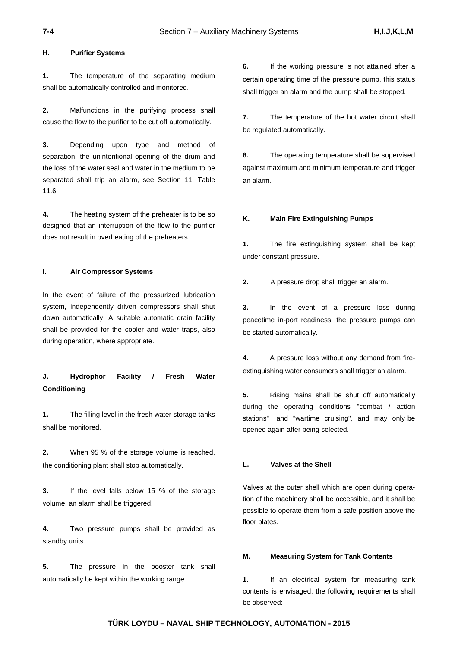#### **H. Purifier Systems**

**1.** The temperature of the separating medium shall be automatically controlled and monitored.

**2.** Malfunctions in the purifying process shall cause the flow to the purifier to be cut off automatically.

**3.** Depending upon type and method of separation, the unintentional opening of the drum and the loss of the water seal and water in the medium to be separated shall trip an alarm, see Section 11, Table 11.6.

**4.** The heating system of the preheater is to be so designed that an interruption of the flow to the purifier does not result in overheating of the preheaters.

#### **I. Air Compressor Systems**

In the event of failure of the pressurized lubrication system, independently driven compressors shall shut down automatically. A suitable automatic drain facility shall be provided for the cooler and water traps, also during operation, where appropriate.

# **J. Hydrophor Facility / Fresh Water Conditioning**

**1.** The filling level in the fresh water storage tanks shall be monitored.

**2.** When 95 % of the storage volume is reached, the conditioning plant shall stop automatically.

**3.** If the level falls below 15 % of the storage volume, an alarm shall be triggered.

**4.** Two pressure pumps shall be provided as standby units.

**5.** The pressure in the booster tank shall automatically be kept within the working range.

**6.** If the working pressure is not attained after a certain operating time of the pressure pump, this status shall trigger an alarm and the pump shall be stopped.

**7.** The temperature of the hot water circuit shall be regulated automatically.

**8.** The operating temperature shall be supervised against maximum and minimum temperature and trigger an alarm.

#### **K. Main Fire Extinguishing Pumps**

**1.** The fire extinguishing system shall be kept under constant pressure.

**2.** A pressure drop shall trigger an alarm.

**3.** In the event of a pressure loss during peacetime in-port readiness, the pressure pumps can be started automatically.

**4.** A pressure loss without any demand from fireextinguishing water consumers shall trigger an alarm.

**5.** Rising mains shall be shut off automatically during the operating conditions "combat / action stations" and "wartime cruising", and may only be opened again after being selected.

#### **L. Valves at the Shell**

Valves at the outer shell which are open during operation of the machinery shall be accessible, and it shall be possible to operate them from a safe position above the floor plates.

#### **M. Measuring System for Tank Contents**

**1.** If an electrical system for measuring tank contents is envisaged, the following requirements shall be observed: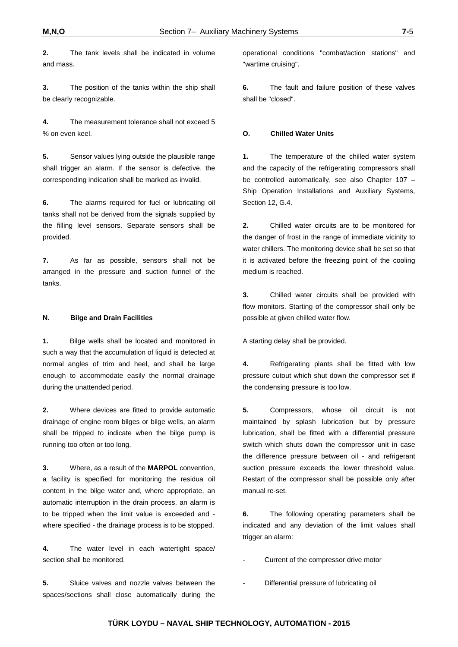**2.** The tank levels shall be indicated in volume and mass.

**3.** The position of the tanks within the ship shall be clearly recognizable.

**4.** The measurement tolerance shall not exceed 5 % on even keel.

**5.** Sensor values lying outside the plausible range shall trigger an alarm. If the sensor is defective, the corresponding indication shall be marked as invalid.

**6.** The alarms required for fuel or lubricating oil tanks shall not be derived from the signals supplied by the filling level sensors. Separate sensors shall be provided.

**7.** As far as possible, sensors shall not be arranged in the pressure and suction funnel of the tanks.

#### **N. Bilge and Drain Facilities**

**1.** Bilge wells shall be located and monitored in such a way that the accumulation of liquid is detected at normal angles of trim and heel, and shall be large enough to accommodate easily the normal drainage during the unattended period.

**2.** Where devices are fitted to provide automatic drainage of engine room bilges or bilge wells, an alarm shall be tripped to indicate when the bilge pump is running too often or too long.

**3.** Where, as a result of the **MARPOL** convention, a facility is specified for monitoring the residua oil content in the bilge water and, where appropriate, an automatic interruption in the drain process, an alarm is to be tripped when the limit value is exceeded and where specified - the drainage process is to be stopped.

**4.** The water level in each watertight space/ section shall be monitored.

**5.** Sluice valves and nozzle valves between the spaces/sections shall close automatically during the

operational conditions "combat/action stations" and "wartime cruising".

**6.** The fault and failure position of these valves shall be "closed".

#### **O. Chilled Water Units**

**1.** The temperature of the chilled water system and the capacity of the refrigerating compressors shall be controlled automatically, see also Chapter 107 – Ship Operation Installations and Auxiliary Systems, Section 12, G.4.

**2.** Chilled water circuits are to be monitored for the danger of frost in the range of immediate vicinity to water chillers. The monitoring device shall be set so that it is activated before the freezing point of the cooling medium is reached.

**3.** Chilled water circuits shall be provided with flow monitors. Starting of the compressor shall only be possible at given chilled water flow.

A starting delay shall be provided.

**4.** Refrigerating plants shall be fitted with low pressure cutout which shut down the compressor set if the condensing pressure is too low.

**5.** Compressors, whose oil circuit is not maintained by splash lubrication but by pressure lubrication, shall be fitted with a differential pressure switch which shuts down the compressor unit in case the difference pressure between oil - and refrigerant suction pressure exceeds the lower threshold value. Restart of the compressor shall be possible only after manual re-set.

**6.** The following operating parameters shall be indicated and any deviation of the limit values shall trigger an alarm:

Current of the compressor drive motor

Differential pressure of lubricating oil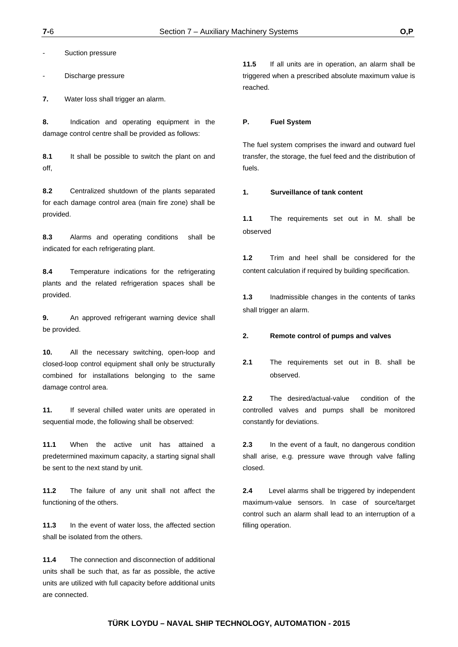Suction pressure

Discharge pressure

**7.** Water loss shall trigger an alarm.

**8.** Indication and operating equipment in the damage control centre shall be provided as follows:

**8.1** It shall be possible to switch the plant on and off,

**8.2** Centralized shutdown of the plants separated for each damage control area (main fire zone) shall be provided.

**8.3** Alarms and operating conditions shall be indicated for each refrigerating plant.

**8.4** Temperature indications for the refrigerating plants and the related refrigeration spaces shall be provided.

**9.** An approved refrigerant warning device shall be provided.

**10.** All the necessary switching, open-loop and closed-loop control equipment shall only be structurally combined for installations belonging to the same damage control area.

**11.** If several chilled water units are operated in sequential mode, the following shall be observed:

**11.1** When the active unit has attained a predetermined maximum capacity, a starting signal shall be sent to the next stand by unit.

**11.2** The failure of any unit shall not affect the functioning of the others.

**11.3** In the event of water loss, the affected section shall be isolated from the others.

**11.4** The connection and disconnection of additional units shall be such that, as far as possible, the active units are utilized with full capacity before additional units are connected.

**11.5** If all units are in operation, an alarm shall be triggered when a prescribed absolute maximum value is reached.

#### **P. Fuel System**

The fuel system comprises the inward and outward fuel transfer, the storage, the fuel feed and the distribution of fuels.

#### **1. Surveillance of tank content**

**1.1** The requirements set out in M. shall be observed

**1.2** Trim and heel shall be considered for the content calculation if required by building specification.

**1.3** Inadmissible changes in the contents of tanks shall trigger an alarm.

#### **2. Remote control of pumps and valves**

**2.1** The requirements set out in B. shall be observed.

**2.2** The desired/actual-value condition of the controlled valves and pumps shall be monitored constantly for deviations.

**2.3** In the event of a fault, no dangerous condition shall arise, e.g. pressure wave through valve falling closed.

**2.4** Level alarms shall be triggered by independent maximum-value sensors. In case of source/target control such an alarm shall lead to an interruption of a filling operation.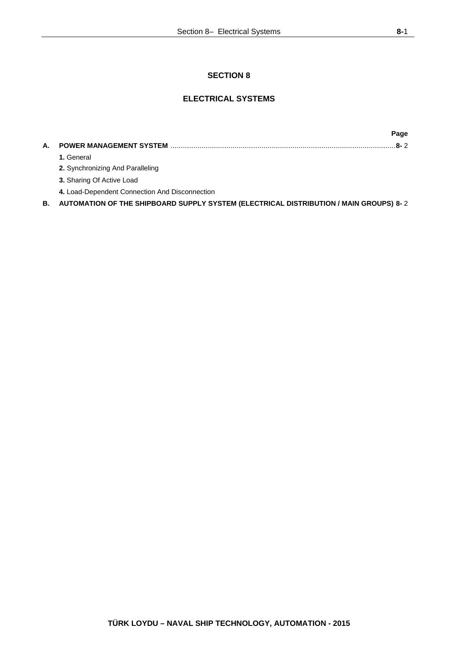# **SECTION 8**

# **ELECTRICAL SYSTEMS**

**Page A. POWER MANAGEMENT SYSTEM** .................................................................................................................... **8-** 2  **1.** General **2.** Synchronizing And Paralleling  **3.** Sharing Of Active Load  **4.** Load-Dependent Connection And Disconnection **B. AUTOMATION OF THE SHIPBOARD SUPPLY SYSTEM (ELECTRICAL DISTRIBUTION / MAIN GROUPS) 8-** 2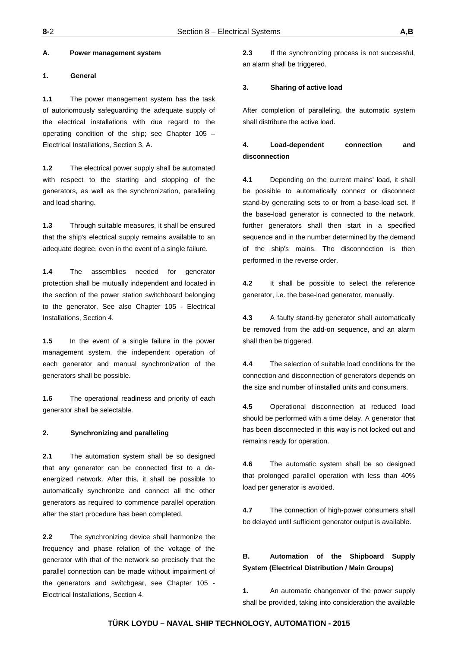#### **A. Power management system**

#### **1. General**

**1.1** The power management system has the task of autonomously safeguarding the adequate supply of the electrical installations with due regard to the operating condition of the ship; see Chapter 105 – Electrical Installations, Section 3, A.

**1.2** The electrical power supply shall be automated with respect to the starting and stopping of the generators, as well as the synchronization, paralleling and load sharing.

**1.3** Through suitable measures, it shall be ensured that the ship's electrical supply remains available to an adequate degree, even in the event of a single failure.

**1.4** The assemblies needed for generator protection shall be mutually independent and located in the section of the power station switchboard belonging to the generator. See also Chapter 105 - Electrical Installations, Section 4.

**1.5** In the event of a single failure in the power management system, the independent operation of each generator and manual synchronization of the generators shall be possible.

**1.6** The operational readiness and priority of each generator shall be selectable.

#### **2. Synchronizing and paralleling**

**2.1** The automation system shall be so designed that any generator can be connected first to a deenergized network. After this, it shall be possible to automatically synchronize and connect all the other generators as required to commence parallel operation after the start procedure has been completed.

**2.2** The synchronizing device shall harmonize the frequency and phase relation of the voltage of the generator with that of the network so precisely that the parallel connection can be made without impairment of the generators and switchgear, see Chapter 105 - Electrical Installations, Section 4.

**2.3** If the synchronizing process is not successful, an alarm shall be triggered.

#### **3. Sharing of active load**

After completion of paralleling, the automatic system shall distribute the active load.

# **4. Load-dependent connection and disconnection**

**4.1** Depending on the current mains' load, it shall be possible to automatically connect or disconnect stand-by generating sets to or from a base-load set. If the base-load generator is connected to the network, further generators shall then start in a specified sequence and in the number determined by the demand of the ship's mains. The disconnection is then performed in the reverse order.

**4.2** It shall be possible to select the reference generator, i.e. the base-load generator, manually.

**4.3** A faulty stand-by generator shall automatically be removed from the add-on sequence, and an alarm shall then be triggered.

**4.4** The selection of suitable load conditions for the connection and disconnection of generators depends on the size and number of installed units and consumers.

**4.5** Operational disconnection at reduced load should be performed with a time delay. A generator that has been disconnected in this way is not locked out and remains ready for operation.

**4.6** The automatic system shall be so designed that prolonged parallel operation with less than 40% load per generator is avoided.

**4.7** The connection of high-power consumers shall be delayed until sufficient generator output is available.

# **B. Automation of the Shipboard Supply System (Electrical Distribution / Main Groups)**

**1.** An automatic changeover of the power supply shall be provided, taking into consideration the available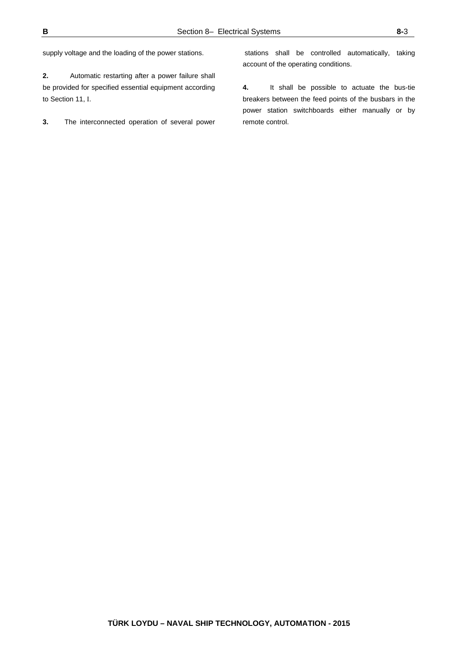supply voltage and the loading of the power stations.

**2.** Automatic restarting after a power failure shall be provided for specified essential equipment according to Section 11, I.

**3.** The interconnected operation of several power

 stations shall be controlled automatically, taking account of the operating conditions.

**4.** It shall be possible to actuate the bus-tie breakers between the feed points of the busbars in the power station switchboards either manually or by remote control.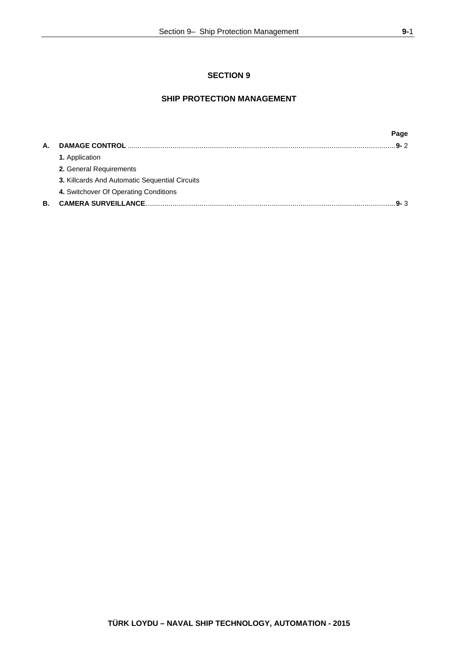# **SECTION 9**

# **SHIP PROTECTION MANAGEMENT**

|                                                | Page    |
|------------------------------------------------|---------|
|                                                | $9 - 2$ |
| <b>1.</b> Application                          |         |
| 2. General Requirements                        |         |
| 3. Killcards And Automatic Sequential Circuits |         |
| 4. Switchover Of Operating Conditions          |         |
|                                                | $9 - 3$ |
|                                                |         |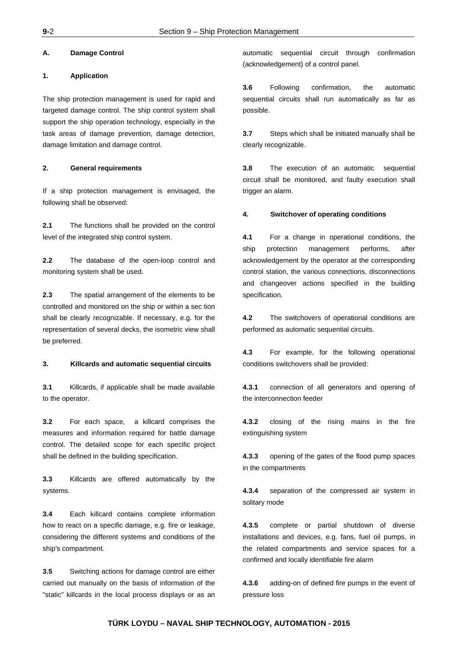#### **A. Damage Control**

#### **1. Application**

The ship protection management is used for rapid and targeted damage control. The ship control system shall support the ship operation technology, especially in the task areas of damage prevention, damage detection, damage limitation and damage control.

#### **2. General requirements**

If a ship protection management is envisaged, the following shall be observed:

**2.1** The functions shall be provided on the control level of the integrated ship control system.

**2.2** The database of the open-loop control and monitoring system shall be used.

**2.3** The spatial arrangement of the elements to be controlled and monitored on the ship or within a sec tion shall be clearly recognizable. If necessary, e.g. for the representation of several decks, the isometric view shall be preferred.

#### **3. Killcards and automatic sequential circuits**

**3.1** Killcards, if applicable shall be made available to the operator.

**3.2** For each space, a killcard comprises the measures and information required for battle damage control. The detailed scope for each specific project shall be defined in the building specification.

**3.3** Killcards are offered automatically by the systems.

**3.4** Each killcard contains complete information how to react on a specific damage, e.g. fire or leakage, considering the different systems and conditions of the ship's compartment.

**3.5** Switching actions for damage control are either carried out manually on the basis of information of the "static" killcards in the local process displays or as an

automatic sequential circuit through confirmation (acknowledgement) of a control panel.

**3.6** Following confirmation, the automatic sequential circuits shall run automatically as far as possible.

**3.7** Steps which shall be initiated manually shall be clearly recognizable.

**3.8** The execution of an automatic sequential circuit shall be monitored, and faulty execution shall trigger an alarm.

#### **4. Switchover of operating conditions**

**4.1** For a change in operational conditions, the ship protection management performs, after acknowledgement by the operator at the corresponding control station, the various connections, disconnections and changeover actions specified in the building specification.

**4.2** The switchovers of operational conditions are performed as automatic sequential circuits.

**4.3** For example, for the following operational conditions switchovers shall be provided:

**4.3.1** connection of all generators and opening of the interconnection feeder

**4.3.2** closing of the rising mains in the fire extinguishing system

**4.3.3** opening of the gates of the flood pump spaces in the compartments

**4.3.4** separation of the compressed air system in solitary mode

**4.3.5** complete or partial shutdown of diverse installations and devices, e.g. fans, fuel oil pumps, in the related compartments and service spaces for a confirmed and locally identifiable fire alarm

**4.3.6** adding-on of defined fire pumps in the event of pressure loss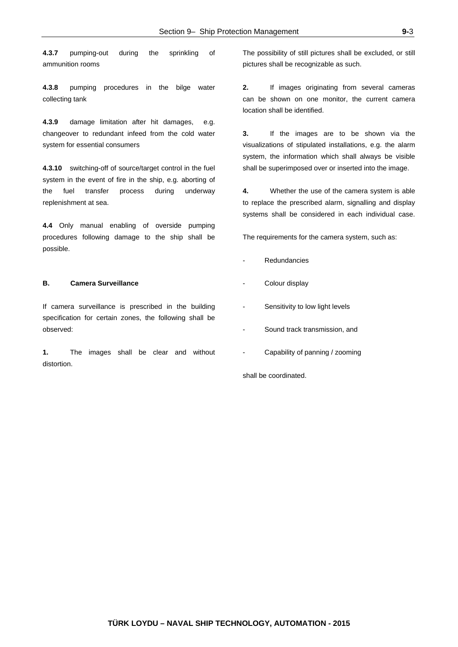**4.3.7** pumping-out during the sprinkling of ammunition rooms

**4.3.8** pumping procedures in the bilge water collecting tank

**4.3.9** damage limitation after hit damages, e.g. changeover to redundant infeed from the cold water system for essential consumers

**4.3.10** switching-off of source/target control in the fuel system in the event of fire in the ship, e.g. aborting of the fuel transfer process during underway replenishment at sea.

**4.4** Only manual enabling of overside pumping procedures following damage to the ship shall be possible.

#### **B. Camera Surveillance**

If camera surveillance is prescribed in the building specification for certain zones, the following shall be observed:

**1.** The images shall be clear and without distortion.

The possibility of still pictures shall be excluded, or still pictures shall be recognizable as such.

**2.** If images originating from several cameras can be shown on one monitor, the current camera location shall be identified.

**3.** If the images are to be shown via the visualizations of stipulated installations, e.g. the alarm system, the information which shall always be visible shall be superimposed over or inserted into the image.

**4.** Whether the use of the camera system is able to replace the prescribed alarm, signalling and display systems shall be considered in each individual case.

The requirements for the camera system, such as:

- **Redundancies**
- Colour display
- Sensitivity to low light levels
- Sound track transmission, and
- Capability of panning / zooming

shall be coordinated.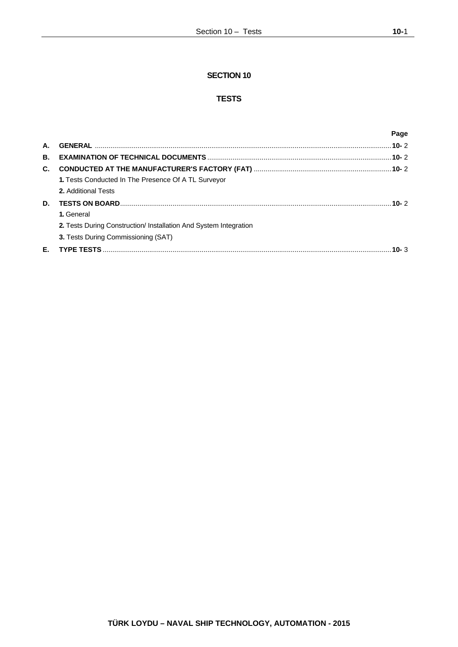# **SECTION 10**

# **TESTS**

|    |                                                                   | Page    |
|----|-------------------------------------------------------------------|---------|
| А. |                                                                   |         |
| В. |                                                                   |         |
| C. |                                                                   |         |
|    | 1. Tests Conducted In The Presence Of A TL Surveyor               |         |
|    | <b>2.</b> Additional Tests                                        |         |
| D. |                                                                   |         |
|    | 1. General                                                        |         |
|    | 2. Tests During Construction/ Installation And System Integration |         |
|    | 3. Tests During Commissioning (SAT)                               |         |
| Е. |                                                                   | 10- $3$ |
|    |                                                                   |         |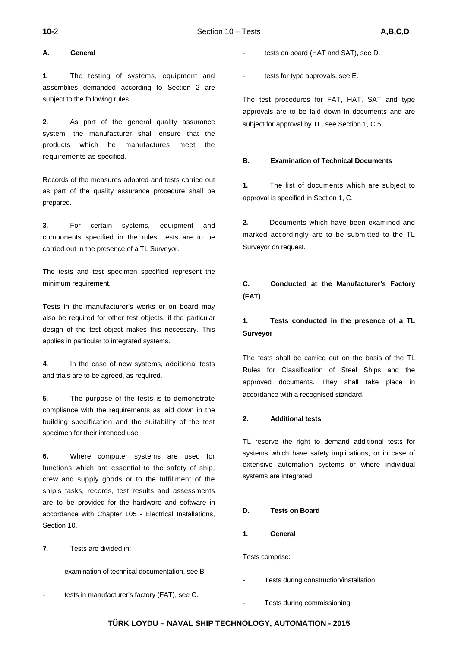#### **A. General**

**1.** The testing of systems, equipment and assemblies demanded according to Section 2 are subject to the following rules.

**2.** As part of the general quality assurance system, the manufacturer shall ensure that the products which he manufactures meet the requirements as specified.

Records of the measures adopted and tests carried out as part of the quality assurance procedure shall be prepared.

**3.** For certain systems, equipment and components specified in the rules, tests are to be carried out in the presence of a TL Surveyor.

The tests and test specimen specified represent the minimum requirement.

Tests in the manufacturer's works or on board may also be required for other test objects, if the particular design of the test object makes this necessary. This applies in particular to integrated systems.

**4.** In the case of new systems, additional tests and trials are to be agreed, as required.

**5.** The purpose of the tests is to demonstrate compliance with the requirements as laid down in the building specification and the suitability of the test specimen for their intended use.

**6.** Where computer systems are used for functions which are essential to the safety of ship, crew and supply goods or to the fulfillment of the ship's tasks, records, test results and assessments are to be provided for the hardware and software in accordance with Chapter 105 - Electrical Installations, Section 10.

**7.** Tests are divided in:

- examination of technical documentation, see B.
- tests in manufacturer's factory (FAT), see C.
- tests on board (HAT and SAT), see D.
- tests for type approvals, see E.

The test procedures for FAT, HAT, SAT and type approvals are to be laid down in documents and are subject for approval by TL, see Section 1, C.5.

#### **B. Examination of Technical Documents**

**1.** The list of documents which are subject to approval is specified in Section 1, C.

**2.** Documents which have been examined and marked accordingly are to be submitted to the TL Surveyor on request.

# **C. Conducted at the Manufacturer's Factory (FAT)**

# **1. Tests conducted in the presence of a TL Surveyor**

The tests shall be carried out on the basis of the TL Rules for Classification of Steel Ships and the approved documents. They shall take place in accordance with a recognised standard.

#### **2. Additional tests**

TL reserve the right to demand additional tests for systems which have safety implications, or in case of extensive automation systems or where individual systems are integrated.

#### **D. Tests on Board**

**1. General**

Tests comprise:

Tests during construction/installation

Tests during commissioning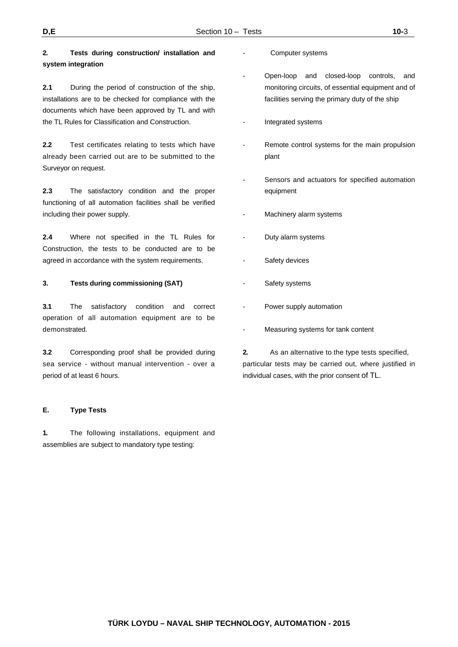# **2. Tests during construction/ installation and system integration**

**2.1** During the period of construction of the ship, installations are to be checked for compliance with the documents which have been approved by TL and with the TL Rules for Classification and Construction.

**2.2** Test certificates relating to tests which have already been carried out are to be submitted to the Surveyor on request.

**2.3** The satisfactory condition and the proper functioning of all automation facilities shall be verified including their power supply.

**2.4** Where not specified in the TL Rules for Construction, the tests to be conducted are to be agreed in accordance with the system requirements.

### **3. Tests during commissioning (SAT)**

**3.1** The satisfactory condition and correct operation of all automation equipment are to be demonstrated.

**3.2** Corresponding proof shall be provided during sea service - without manual intervention - over a period of at least 6 hours.

# **E. Type Tests**

**1.** The following installations, equipment and assemblies are subject to mandatory type testing:

- Computer systems
- Open-loop and closed-loop controls, and monitoring circuits, of essential equipment and of facilities serving the primary duty of the ship
- Integrated systems
- Remote control systems for the main propulsion plant
- Sensors and actuators for specified automation equipment
- Machinery alarm systems
- Duty alarm systems
- Safety devices
- Safety systems
- Power supply automation
- Measuring systems for tank content

**2.** As an alternative to the type tests specified, particular tests may be carried out, where justified in individual cases, with the prior consent of TL.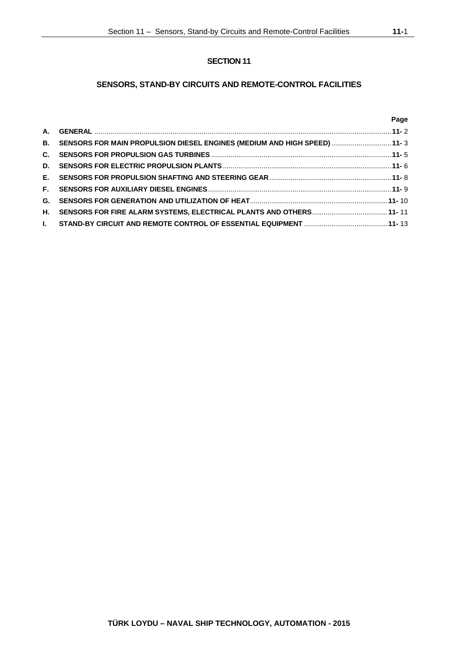# **SENSORS, STAND-BY CIRCUITS AND REMOTE-CONTROL FACILITIES**

## **Page**

| B. SENSORS FOR MAIN PROPULSION DIESEL ENGINES (MEDIUM AND HIGH SPEED) 11-3 |  |
|----------------------------------------------------------------------------|--|
|                                                                            |  |
|                                                                            |  |
|                                                                            |  |
|                                                                            |  |
|                                                                            |  |
|                                                                            |  |
|                                                                            |  |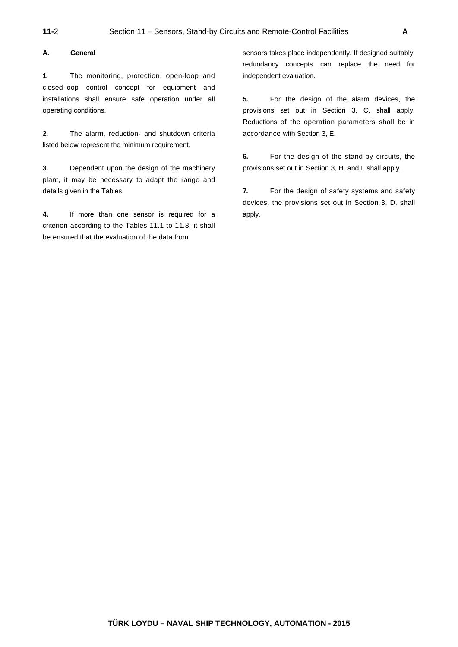#### **A. General**

**1.** The monitoring, protection, open-loop and closed-loop control concept for equipment and installations shall ensure safe operation under all operating conditions.

**2.** The alarm, reduction- and shutdown criteria listed below represent the minimum requirement.

**3.** Dependent upon the design of the machinery plant, it may be necessary to adapt the range and details given in the Tables.

**4.** If more than one sensor is required for a criterion according to the Tables 11.1 to 11.8, it shall be ensured that the evaluation of the data from

sensors takes place independently. If designed suitably, redundancy concepts can replace the need for independent evaluation.

**5.** For the design of the alarm devices, the provisions set out in Section 3, C. shall apply. Reductions of the operation parameters shall be in accordance with Section 3, E.

**6.** For the design of the stand-by circuits, the provisions set out in Section 3, H. and I. shall apply.

**7.** For the design of safety systems and safety devices, the provisions set out in Section 3, D. shall apply.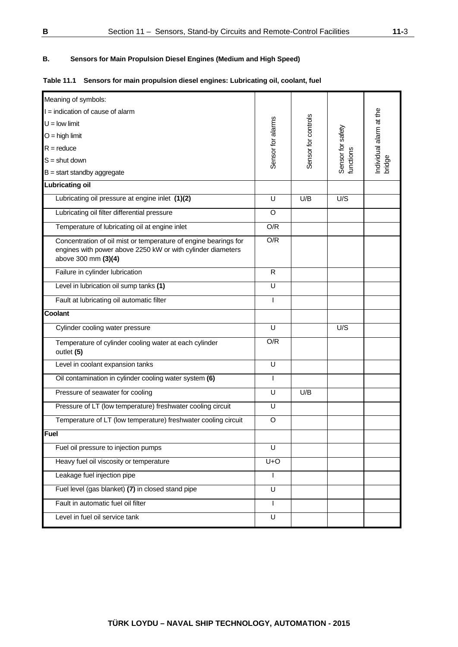# **B. Sensors for Main Propulsion Diesel Engines (Medium and High Speed)**

| Meaning of symbols:                                                                                                                                   |                         |                     |                                |                                   |
|-------------------------------------------------------------------------------------------------------------------------------------------------------|-------------------------|---------------------|--------------------------------|-----------------------------------|
| I = indication of cause of alarm                                                                                                                      |                         |                     |                                |                                   |
| $U =$ low limit                                                                                                                                       |                         |                     |                                |                                   |
| $O =$ high limit                                                                                                                                      |                         |                     |                                |                                   |
| $R =$ reduce                                                                                                                                          |                         |                     |                                |                                   |
| $S =$ shut down                                                                                                                                       | Sensor for alarms       | Sensor for controls | Sensor for safety<br>functions | Individual alarm at the<br>bridge |
| $B = start$ standby aggregate                                                                                                                         |                         |                     |                                |                                   |
| <b>Lubricating oil</b>                                                                                                                                |                         |                     |                                |                                   |
| Lubricating oil pressure at engine inlet (1)(2)                                                                                                       | U                       | U/B                 | U/S                            |                                   |
| Lubricating oil filter differential pressure                                                                                                          | O                       |                     |                                |                                   |
| Temperature of lubricating oil at engine inlet                                                                                                        | O/R                     |                     |                                |                                   |
| Concentration of oil mist or temperature of engine bearings for<br>engines with power above 2250 kW or with cylinder diameters<br>above 300 mm (3)(4) | O/R                     |                     |                                |                                   |
| Failure in cylinder lubrication                                                                                                                       | R                       |                     |                                |                                   |
| Level in lubrication oil sump tanks (1)                                                                                                               | $\overline{\mathsf{U}}$ |                     |                                |                                   |
| Fault at lubricating oil automatic filter                                                                                                             |                         |                     |                                |                                   |
| Coolant                                                                                                                                               |                         |                     |                                |                                   |
| Cylinder cooling water pressure                                                                                                                       | U                       |                     | U/S                            |                                   |
| Temperature of cylinder cooling water at each cylinder<br>outlet (5)                                                                                  | O/R                     |                     |                                |                                   |
| Level in coolant expansion tanks                                                                                                                      | U                       |                     |                                |                                   |
| Oil contamination in cylinder cooling water system (6)                                                                                                | I                       |                     |                                |                                   |
| Pressure of seawater for cooling                                                                                                                      | U                       | U/B                 |                                |                                   |
| Pressure of LT (low temperature) freshwater cooling circuit                                                                                           | U                       |                     |                                |                                   |
| Temperature of LT (low temperature) freshwater cooling circuit                                                                                        | $\circ$                 |                     |                                |                                   |
| <b>Fuel</b>                                                                                                                                           |                         |                     |                                |                                   |
| Fuel oil pressure to injection pumps                                                                                                                  | U                       |                     |                                |                                   |
| Heavy fuel oil viscosity or temperature                                                                                                               | $U+O$                   |                     |                                |                                   |
| Leakage fuel injection pipe                                                                                                                           |                         |                     |                                |                                   |
| Fuel level (gas blanket) $\overline{(7)}$ in closed stand pipe                                                                                        | U                       |                     |                                |                                   |
| Fault in automatic fuel oil filter                                                                                                                    | $\mathsf{I}$            |                     |                                |                                   |
| Level in fuel oil service tank                                                                                                                        | U                       |                     |                                |                                   |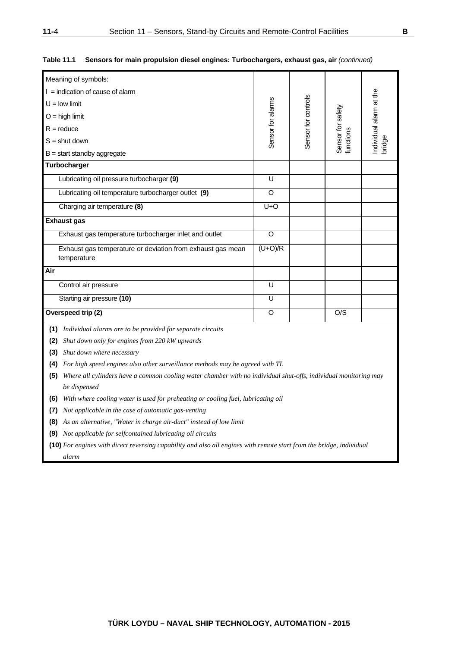| Meaning of symbols:                                                                                                    |                         |  |                 |  |  |  |  |
|------------------------------------------------------------------------------------------------------------------------|-------------------------|--|-----------------|--|--|--|--|
| $I =$ indication of cause of alarm                                                                                     |                         |  |                 |  |  |  |  |
| $U =$ low limit                                                                                                        |                         |  |                 |  |  |  |  |
| Sensor for controls<br>Sensor for alarms<br>Sensor for safety<br>$O =$ high limit                                      |                         |  |                 |  |  |  |  |
| $R =$ reduce                                                                                                           |                         |  |                 |  |  |  |  |
| ndividual alarm at the<br>functions<br>bridge<br>$S =$ shut down                                                       |                         |  |                 |  |  |  |  |
| $B = start$ standby aggregate                                                                                          |                         |  |                 |  |  |  |  |
| Turbocharger                                                                                                           |                         |  |                 |  |  |  |  |
| Lubricating oil pressure turbocharger (9)                                                                              | U                       |  |                 |  |  |  |  |
| Lubricating oil temperature turbocharger outlet (9)                                                                    | O                       |  |                 |  |  |  |  |
| Charging air temperature (8)                                                                                           | $U+O$                   |  |                 |  |  |  |  |
| <b>Exhaust gas</b>                                                                                                     |                         |  |                 |  |  |  |  |
|                                                                                                                        |                         |  |                 |  |  |  |  |
| $\circ$<br>Exhaust gas temperature turbocharger inlet and outlet                                                       |                         |  |                 |  |  |  |  |
| $(U+O)/R$<br>Exhaust gas temperature or deviation from exhaust gas mean<br>temperature                                 |                         |  |                 |  |  |  |  |
| Air                                                                                                                    |                         |  |                 |  |  |  |  |
| Control air pressure                                                                                                   | $\overline{\mathsf{U}}$ |  |                 |  |  |  |  |
| Starting air pressure (10)                                                                                             | U                       |  |                 |  |  |  |  |
| Overspeed trip (2)                                                                                                     | O                       |  | $\overline{OS}$ |  |  |  |  |
| (1) Individual alarms are to be provided for separate circuits                                                         |                         |  |                 |  |  |  |  |
| Shut down only for engines from 220 kW upwards<br>(2)                                                                  |                         |  |                 |  |  |  |  |
| Shut down where necessary<br>(3)                                                                                       |                         |  |                 |  |  |  |  |
| (4) For high speed engines also other surveillance methods may be agreed with TL                                       |                         |  |                 |  |  |  |  |
| Where all cylinders have a common cooling water chamber with no individual shut-offs, individual monitoring may<br>(5) |                         |  |                 |  |  |  |  |
| be dispensed                                                                                                           |                         |  |                 |  |  |  |  |
| With where cooling water is used for preheating or cooling fuel, lubricating oil<br>(6)                                |                         |  |                 |  |  |  |  |
| Not applicable in the case of automatic gas-venting<br>(7)                                                             |                         |  |                 |  |  |  |  |
| As an alternative, "Water in charge air-duct" instead of low limit<br>(8)                                              |                         |  |                 |  |  |  |  |
| (9) Not applicable for selfcontained lubricating oil circuits                                                          |                         |  |                 |  |  |  |  |

#### **Table 11.1 Sensors for main propulsion diesel engines: Turbochargers, exhaust gas, air** *(continued)*

**(10)** *For engines with direct reversing capability and also all engines with remote start from the bridge, individual alarm*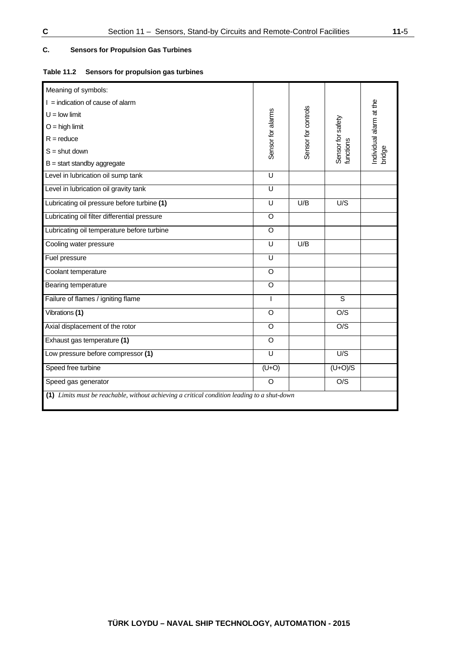# **C. Sensors for Propulsion Gas Turbines**

### **Table 11.2 Sensors for propulsion gas turbines**

| Meaning of symbols:                                                                         |                    |                     |                   |                                   |
|---------------------------------------------------------------------------------------------|--------------------|---------------------|-------------------|-----------------------------------|
| $I =$ indication of cause of alarm                                                          |                    |                     |                   |                                   |
| $U =$ low limit                                                                             |                    |                     |                   |                                   |
| $O =$ high limit                                                                            |                    |                     |                   |                                   |
| $R =$ reduce                                                                                | Sensor for alarms  | Sensor for controls | Sensor for safety | Individual alarm at the<br>bridge |
| $S =$ shut down                                                                             |                    |                     | functions         |                                   |
|                                                                                             |                    |                     |                   |                                   |
| $B = start$ standby aggregate                                                               |                    |                     |                   |                                   |
| Level in lubrication oil sump tank                                                          | $\overline{U}$     |                     |                   |                                   |
| Level in lubrication oil gravity tank                                                       | U                  |                     |                   |                                   |
| Lubricating oil pressure before turbine (1)                                                 | U                  | U/B                 | U/S               |                                   |
| Lubricating oil filter differential pressure                                                | $\circ$            |                     |                   |                                   |
| Lubricating oil temperature before turbine                                                  | $\circ$            |                     |                   |                                   |
| Cooling water pressure                                                                      | U                  | U/B                 |                   |                                   |
| Fuel pressure                                                                               | U                  |                     |                   |                                   |
| Coolant temperature                                                                         | O                  |                     |                   |                                   |
| Bearing temperature                                                                         | $\circ$            |                     |                   |                                   |
| Failure of flames / igniting flame                                                          | $\mathsf{I}$       |                     | $\overline{s}$    |                                   |
| Vibrations (1)                                                                              | $\overline{\circ}$ |                     | $\overline{OS}$   |                                   |
| Axial displacement of the rotor                                                             | $\circ$            |                     | O/S               |                                   |
| Exhaust gas temperature (1)                                                                 | O                  |                     |                   |                                   |
| Low pressure before compressor (1)                                                          | U                  |                     | U/S               |                                   |
| Speed free turbine                                                                          | $(U+O)$            |                     | $(U+O)/S$         |                                   |
| Speed gas generator                                                                         | $\circ$            |                     | O/S               |                                   |
| (1) Limits must be reachable, without achieving a critical condition leading to a shut-down |                    |                     |                   |                                   |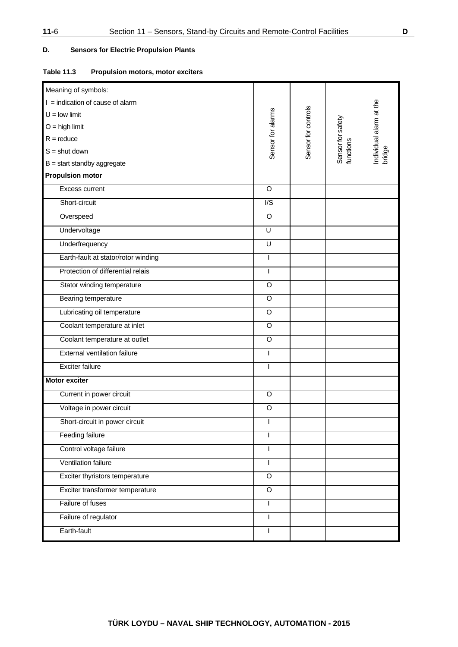# **D. Sensors for Electric Propulsion Plants**

### **Table 11.3 Propulsion motors, motor exciters**

| Meaning of symbols:                 |                   |                     |                                |                                   |
|-------------------------------------|-------------------|---------------------|--------------------------------|-----------------------------------|
| $I =$ indication of cause of alarm  |                   |                     |                                |                                   |
| $U =$ low limit                     |                   |                     |                                |                                   |
| $O = high$ limit                    |                   |                     | Sensor for safety<br>functions |                                   |
| $R =$ reduce                        |                   |                     |                                |                                   |
| $S =$ shut down                     | Sensor for alarms | Sensor for controls |                                | Individual alarm at the<br>bridge |
| $B = start$ standby aggregate       |                   |                     |                                |                                   |
| <b>Propulsion motor</b>             |                   |                     |                                |                                   |
| Excess current                      | $\circ$           |                     |                                |                                   |
| Short-circuit                       | I/S               |                     |                                |                                   |
| Overspeed                           | O                 |                     |                                |                                   |
| Undervoltage                        | U                 |                     |                                |                                   |
| Underfrequency                      | U                 |                     |                                |                                   |
| Earth-fault at stator/rotor winding | $\overline{1}$    |                     |                                |                                   |
| Protection of differential relais   | $\overline{1}$    |                     |                                |                                   |
| Stator winding temperature          | $\circ$           |                     |                                |                                   |
| Bearing temperature                 | $\circ$           |                     |                                |                                   |
| Lubricating oil temperature         | $\mathsf O$       |                     |                                |                                   |
| Coolant temperature at inlet        | O                 |                     |                                |                                   |
| Coolant temperature at outlet       | $\circ$           |                     |                                |                                   |
| <b>External ventilation failure</b> | ı                 |                     |                                |                                   |
| Exciter failure                     | ı                 |                     |                                |                                   |
| <b>Motor exciter</b>                |                   |                     |                                |                                   |
| Current in power circuit            | $\circ$           |                     |                                |                                   |
| Voltage in power circuit            | $\circ$           |                     |                                |                                   |
| Short-circuit in power circuit      | I                 |                     |                                |                                   |
| <b>Feeding failure</b>              | I                 |                     |                                |                                   |
| Control voltage failure             | $\overline{1}$    |                     |                                |                                   |
| Ventilation failure                 | $\overline{1}$    |                     |                                |                                   |
| Exciter thyristors temperature      | $\overline{O}$    |                     |                                |                                   |
| Exciter transformer temperature     | $\circ$           |                     |                                |                                   |
| Failure of fuses                    | $\mathbf{I}$      |                     |                                |                                   |
| Failure of regulator                | T                 |                     |                                |                                   |
| Earth-fault                         | $\overline{1}$    |                     |                                |                                   |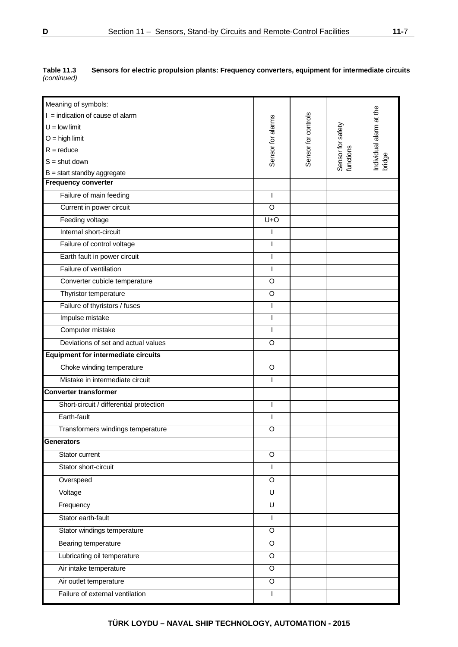| Meaning of symbols:                        |                         |                     |                                |                         |
|--------------------------------------------|-------------------------|---------------------|--------------------------------|-------------------------|
| $I =$ indication of cause of alarm         |                         |                     |                                | Individual alarm at the |
| $U =$ low limit                            |                         |                     |                                |                         |
| $O =$ high limit                           | Sensor for alarms       | Sensor for controls |                                |                         |
| $R =$ reduce                               |                         |                     |                                |                         |
| $S =$ shut down                            |                         |                     | Sensor for safety<br>functions | bridge                  |
| $B = start$ standby aggregate              |                         |                     |                                |                         |
| <b>Frequency converter</b>                 |                         |                     |                                |                         |
| Failure of main feeding                    |                         |                     |                                |                         |
| Current in power circuit                   | O                       |                     |                                |                         |
| Feeding voltage                            | $U + O$                 |                     |                                |                         |
| Internal short-circuit                     |                         |                     |                                |                         |
| Failure of control voltage                 | I                       |                     |                                |                         |
| Earth fault in power circuit               |                         |                     |                                |                         |
| Failure of ventilation                     | ı                       |                     |                                |                         |
| Converter cubicle temperature              | $\circ$                 |                     |                                |                         |
| Thyristor temperature                      | O                       |                     |                                |                         |
| Failure of thyristors / fuses              |                         |                     |                                |                         |
| Impulse mistake                            | I                       |                     |                                |                         |
| Computer mistake                           |                         |                     |                                |                         |
| Deviations of set and actual values        | $\circ$                 |                     |                                |                         |
| <b>Equipment for intermediate circuits</b> |                         |                     |                                |                         |
| Choke winding temperature                  | O                       |                     |                                |                         |
| Mistake in intermediate circuit            | I                       |                     |                                |                         |
| <b>Converter transformer</b>               |                         |                     |                                |                         |
| Short-circuit / differential protection    |                         |                     |                                |                         |
| Earth-fault                                |                         |                     |                                |                         |
| Transformers windings temperature          | O                       |                     |                                |                         |
| Generators                                 |                         |                     |                                |                         |
| Stator current                             | O                       |                     |                                |                         |
| Stator short-circuit                       | L                       |                     |                                |                         |
| Overspeed                                  | $\circ$                 |                     |                                |                         |
| Voltage                                    | $\overline{\mathsf{U}}$ |                     |                                |                         |
| Frequency                                  | $\overline{U}$          |                     |                                |                         |
| Stator earth-fault                         | ı                       |                     |                                |                         |
| Stator windings temperature                | $\circ$                 |                     |                                |                         |
| Bearing temperature                        | $\mathsf O$             |                     |                                |                         |
| Lubricating oil temperature                | O                       |                     |                                |                         |
| Air intake temperature                     | $\overline{O}$          |                     |                                |                         |
| Air outlet temperature                     | O                       |                     |                                |                         |
| Failure of external ventilation            |                         |                     |                                |                         |

| Table 11.3  | Sensors for electric propulsion plants: Frequency converters, equipment for intermediate circuits |
|-------------|---------------------------------------------------------------------------------------------------|
| (continued) |                                                                                                   |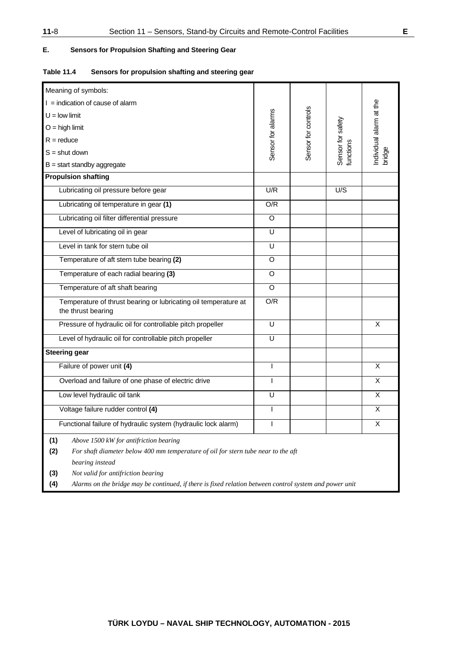# **E. Sensors for Propulsion Shafting and Steering Gear**

|  | Table 11.4 | Sensors for propulsion shafting and steering gear |
|--|------------|---------------------------------------------------|
|--|------------|---------------------------------------------------|

| Meaning of symbols:                                                                                                                                                                                                                                                                                                         |                   |                     |                                |                                   |
|-----------------------------------------------------------------------------------------------------------------------------------------------------------------------------------------------------------------------------------------------------------------------------------------------------------------------------|-------------------|---------------------|--------------------------------|-----------------------------------|
| $I =$ indication of cause of alarm                                                                                                                                                                                                                                                                                          |                   |                     |                                |                                   |
| $U =$ low limit                                                                                                                                                                                                                                                                                                             |                   |                     |                                |                                   |
| $O =$ high limit                                                                                                                                                                                                                                                                                                            |                   |                     |                                | Individual alarm at the<br>bridge |
| $R =$ reduce                                                                                                                                                                                                                                                                                                                |                   |                     |                                |                                   |
| $S =$ shut down                                                                                                                                                                                                                                                                                                             | Sensor for alarms | Sensor for controls | Sensor for safety<br>functions |                                   |
| $B = start$ standby aggregate                                                                                                                                                                                                                                                                                               |                   |                     |                                |                                   |
| <b>Propulsion shafting</b>                                                                                                                                                                                                                                                                                                  |                   |                     |                                |                                   |
| Lubricating oil pressure before gear                                                                                                                                                                                                                                                                                        | U/R               |                     | U/S                            |                                   |
| Lubricating oil temperature in gear (1)                                                                                                                                                                                                                                                                                     | O/R               |                     |                                |                                   |
| Lubricating oil filter differential pressure                                                                                                                                                                                                                                                                                | O                 |                     |                                |                                   |
| Level of lubricating oil in gear                                                                                                                                                                                                                                                                                            | U                 |                     |                                |                                   |
| Level in tank for stern tube oil                                                                                                                                                                                                                                                                                            | U                 |                     |                                |                                   |
| Temperature of aft stern tube bearing (2)                                                                                                                                                                                                                                                                                   | O                 |                     |                                |                                   |
| Temperature of each radial bearing (3)                                                                                                                                                                                                                                                                                      | O                 |                     |                                |                                   |
| Temperature of aft shaft bearing                                                                                                                                                                                                                                                                                            | O                 |                     |                                |                                   |
| Temperature of thrust bearing or lubricating oil temperature at<br>the thrust bearing                                                                                                                                                                                                                                       | O/R               |                     |                                |                                   |
| Pressure of hydraulic oil for controllable pitch propeller                                                                                                                                                                                                                                                                  | U                 |                     |                                | X                                 |
| Level of hydraulic oil for controllable pitch propeller                                                                                                                                                                                                                                                                     | U                 |                     |                                |                                   |
| <b>Steering gear</b>                                                                                                                                                                                                                                                                                                        |                   |                     |                                |                                   |
| Failure of power unit (4)                                                                                                                                                                                                                                                                                                   | $\mathbf{I}$      |                     |                                | X                                 |
| Overload and failure of one phase of electric drive                                                                                                                                                                                                                                                                         | T                 |                     |                                | X                                 |
| Low level hydraulic oil tank                                                                                                                                                                                                                                                                                                | U                 |                     |                                | X                                 |
| Voltage failure rudder control (4)                                                                                                                                                                                                                                                                                          | L                 |                     |                                | X                                 |
| Functional failure of hydraulic system (hydraulic lock alarm)                                                                                                                                                                                                                                                               |                   |                     |                                | $\overline{\mathsf{x}}$           |
| (1)<br>Above 1500 kW for antifriction bearing<br>(2)<br>For shaft diameter below 400 mm temperature of oil for stern tube near to the aft<br>bearing instead<br>Not valid for antifriction bearing<br>(3)<br>Alarms on the bridge may be continued, if there is fixed relation between control system and power unit<br>(4) |                   |                     |                                |                                   |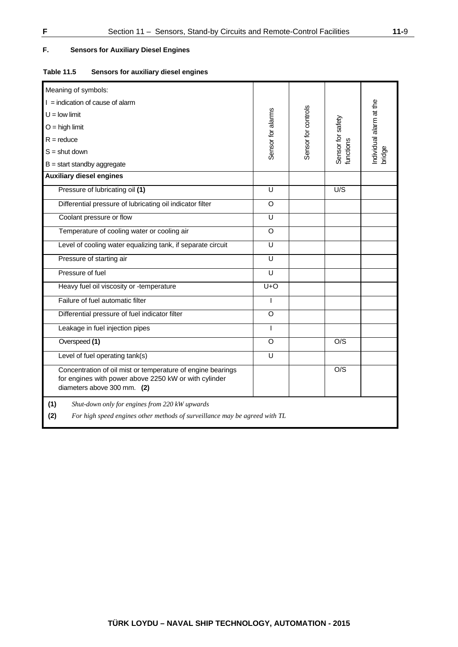# **F. Sensors for Auxiliary Diesel Engines**

| <b>Table 11.5</b> | Sensors for auxiliary diesel engines |  |  |
|-------------------|--------------------------------------|--|--|
|                   |                                      |  |  |

| Meaning of symbols:                                                                                                                                 |                         |                     |                                |                                   |
|-----------------------------------------------------------------------------------------------------------------------------------------------------|-------------------------|---------------------|--------------------------------|-----------------------------------|
| $I =$ indication of cause of alarm                                                                                                                  |                         |                     |                                |                                   |
| $U =$ low limit                                                                                                                                     |                         |                     |                                |                                   |
| $O =$ high limit                                                                                                                                    |                         |                     |                                |                                   |
| $R =$ reduce                                                                                                                                        |                         |                     |                                |                                   |
| $S =$ shut down                                                                                                                                     | Sensor for alarms       | Sensor for controls | Sensor for safety<br>functions | Individual alarm at the<br>bridge |
| $B = start$ standby aggregate                                                                                                                       |                         |                     |                                |                                   |
| <b>Auxiliary diesel engines</b>                                                                                                                     |                         |                     |                                |                                   |
| Pressure of lubricating oil (1)                                                                                                                     | U                       |                     | U/S                            |                                   |
| Differential pressure of lubricating oil indicator filter                                                                                           | O                       |                     |                                |                                   |
| Coolant pressure or flow                                                                                                                            | U                       |                     |                                |                                   |
| Temperature of cooling water or cooling air                                                                                                         | $\circ$                 |                     |                                |                                   |
| Level of cooling water equalizing tank, if separate circuit                                                                                         | U                       |                     |                                |                                   |
| Pressure of starting air                                                                                                                            | $\overline{\mathsf{U}}$ |                     |                                |                                   |
| Pressure of fuel                                                                                                                                    | U                       |                     |                                |                                   |
| Heavy fuel oil viscosity or -temperature                                                                                                            | $U + O$                 |                     |                                |                                   |
| Failure of fuel automatic filter                                                                                                                    |                         |                     |                                |                                   |
| Differential pressure of fuel indicator filter                                                                                                      | O                       |                     |                                |                                   |
| Leakage in fuel injection pipes                                                                                                                     | $\mathbf{I}$            |                     |                                |                                   |
| Overspeed (1)                                                                                                                                       | O                       |                     | O/S                            |                                   |
| Level of fuel operating tank(s)                                                                                                                     | U                       |                     |                                |                                   |
| Concentration of oil mist or temperature of engine bearings<br>for engines with power above 2250 kW or with cylinder<br>diameters above 300 mm. (2) |                         |                     | O/S                            |                                   |
| (1)<br>Shut-down only for engines from 220 kW upwards                                                                                               |                         |                     |                                |                                   |
| (2)<br>For high speed engines other methods of surveillance may be agreed with TL                                                                   |                         |                     |                                |                                   |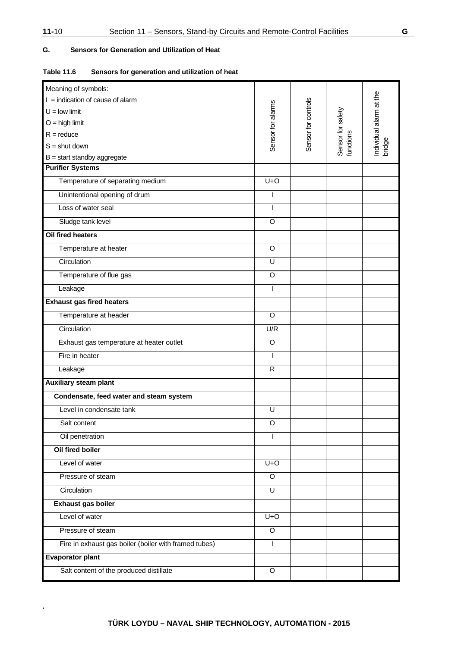**.**

# **G. Sensors for Generation and Utilization of Heat**

| <b>Table 11.6</b> | Sensors for generation and utilization of heat |
|-------------------|------------------------------------------------|
|-------------------|------------------------------------------------|

| Meaning of symbols:                                   |                         |                     |                                |                         |
|-------------------------------------------------------|-------------------------|---------------------|--------------------------------|-------------------------|
| $I =$ indication of cause of alarm                    |                         |                     |                                | Individual alarm at the |
| $U =$ low limit                                       | Sensor for alarms       | Sensor for controls | Sensor for safety<br>functions |                         |
| $O =$ high limit                                      |                         |                     |                                |                         |
| $R =$ reduce                                          |                         |                     |                                |                         |
| $S =$ shut down                                       |                         |                     |                                | bridge                  |
| $B = start$ standby aggregate                         |                         |                     |                                |                         |
| <b>Purifier Systems</b>                               |                         |                     |                                |                         |
| Temperature of separating medium                      | $U+O$                   |                     |                                |                         |
| Unintentional opening of drum                         | ı                       |                     |                                |                         |
| Loss of water seal                                    | $\overline{1}$          |                     |                                |                         |
| Sludge tank level                                     | $\circ$                 |                     |                                |                         |
| Oil fired heaters                                     |                         |                     |                                |                         |
| Temperature at heater                                 | O                       |                     |                                |                         |
| Circulation                                           | U                       |                     |                                |                         |
| Temperature of flue gas                               | O                       |                     |                                |                         |
| Leakage                                               | $\overline{1}$          |                     |                                |                         |
| <b>Exhaust gas fired heaters</b>                      |                         |                     |                                |                         |
| Temperature at header                                 | O                       |                     |                                |                         |
| Circulation                                           | U/R                     |                     |                                |                         |
| Exhaust gas temperature at heater outlet              | O                       |                     |                                |                         |
| Fire in heater                                        | $\overline{1}$          |                     |                                |                         |
| Leakage                                               | $\overline{R}$          |                     |                                |                         |
| <b>Auxiliary steam plant</b>                          |                         |                     |                                |                         |
| Condensate, feed water and steam system               |                         |                     |                                |                         |
| Level in condensate tank                              | U                       |                     |                                |                         |
| Salt content                                          | $\circ$                 |                     |                                |                         |
| Oil penetration                                       | ı                       |                     |                                |                         |
| Oil fired boiler                                      |                         |                     |                                |                         |
| Level of water                                        | $U+O$                   |                     |                                |                         |
| Pressure of steam                                     | O                       |                     |                                |                         |
| Circulation                                           | $\overline{\mathsf{U}}$ |                     |                                |                         |
| Exhaust gas boiler                                    |                         |                     |                                |                         |
| Level of water                                        | $U+O$                   |                     |                                |                         |
| Pressure of steam                                     | $\circ$                 |                     |                                |                         |
| Fire in exhaust gas boiler (boiler with framed tubes) | ı                       |                     |                                |                         |
| <b>Evaporator plant</b>                               |                         |                     |                                |                         |
| Salt content of the produced distillate               | O                       |                     |                                |                         |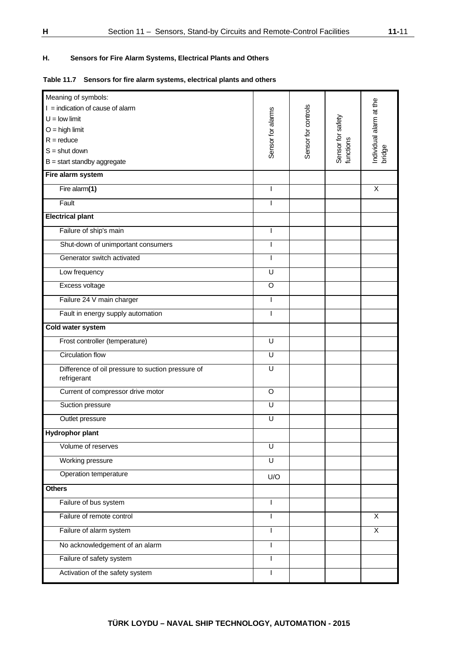# **H. Sensors for Fire Alarm Systems, Electrical Plants and Others**

### **Table 11.7 Sensors for fire alarm systems, electrical plants and others**

| Meaning of symbols:                                              |                   |                     |                                |                                   |
|------------------------------------------------------------------|-------------------|---------------------|--------------------------------|-----------------------------------|
| $I =$ indication of cause of alarm                               |                   |                     |                                | Individual alarm at the<br>bridge |
| $U =$ low limit                                                  |                   |                     |                                |                                   |
| $O =$ high limit                                                 |                   |                     |                                |                                   |
| $R = reduce$                                                     |                   |                     |                                |                                   |
| $S =$ shut down                                                  | Sensor for alarms | Sensor for controls | Sensor for safety<br>functions |                                   |
| $B = start$ standby aggregate                                    |                   |                     |                                |                                   |
| Fire alarm system                                                |                   |                     |                                |                                   |
| Fire alarm(1)                                                    | I                 |                     |                                | X                                 |
| Fault                                                            | ı                 |                     |                                |                                   |
| <b>Electrical plant</b>                                          |                   |                     |                                |                                   |
| Failure of ship's main                                           | I                 |                     |                                |                                   |
| Shut-down of unimportant consumers                               | ı                 |                     |                                |                                   |
| Generator switch activated                                       |                   |                     |                                |                                   |
| Low frequency                                                    | U                 |                     |                                |                                   |
| Excess voltage                                                   | O                 |                     |                                |                                   |
| Failure 24 V main charger                                        | ı                 |                     |                                |                                   |
| Fault in energy supply automation                                |                   |                     |                                |                                   |
| Cold water system                                                |                   |                     |                                |                                   |
| Frost controller (temperature)                                   | U                 |                     |                                |                                   |
| <b>Circulation flow</b>                                          | U                 |                     |                                |                                   |
| Difference of oil pressure to suction pressure of<br>refrigerant | U                 |                     |                                |                                   |
| Current of compressor drive motor                                | $\circ$           |                     |                                |                                   |
| Suction pressure                                                 | U                 |                     |                                |                                   |
| Outlet pressure                                                  | U                 |                     |                                |                                   |
| <b>Hydrophor plant</b>                                           |                   |                     |                                |                                   |
| Volume of reserves                                               | U                 |                     |                                |                                   |
| Working pressure                                                 | U                 |                     |                                |                                   |
| Operation temperature                                            | U/O               |                     |                                |                                   |
| <b>Others</b>                                                    |                   |                     |                                |                                   |
| Failure of bus system                                            | I                 |                     |                                |                                   |
| Failure of remote control                                        |                   |                     |                                | X                                 |
| Failure of alarm system                                          | I                 |                     |                                | X                                 |
| No acknowledgement of an alarm                                   | I                 |                     |                                |                                   |
| Failure of safety system                                         | ı                 |                     |                                |                                   |
| Activation of the safety system                                  | I                 |                     |                                |                                   |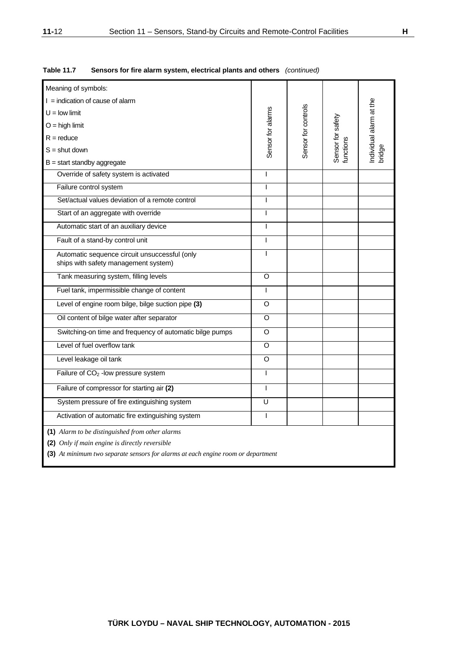| Meaning of symbols:                                                                                                                                                                   |                   |                     |                                |                                   |
|---------------------------------------------------------------------------------------------------------------------------------------------------------------------------------------|-------------------|---------------------|--------------------------------|-----------------------------------|
| $I =$ indication of cause of alarm                                                                                                                                                    |                   | Sensor for controls |                                | Individual alarm at the<br>bridge |
| $U =$ low limit                                                                                                                                                                       |                   |                     |                                |                                   |
| $O =$ high limit                                                                                                                                                                      |                   |                     |                                |                                   |
| $R = reduce$                                                                                                                                                                          |                   |                     |                                |                                   |
| $S =$ shut down                                                                                                                                                                       | Sensor for alarms |                     | Sensor for safety<br>functions |                                   |
| $B = start$ standby aggregate                                                                                                                                                         |                   |                     |                                |                                   |
| Override of safety system is activated                                                                                                                                                | T                 |                     |                                |                                   |
| Failure control system                                                                                                                                                                | I                 |                     |                                |                                   |
| Set/actual values deviation of a remote control                                                                                                                                       | T                 |                     |                                |                                   |
| Start of an aggregate with override                                                                                                                                                   | $\mathsf{I}$      |                     |                                |                                   |
| Automatic start of an auxiliary device                                                                                                                                                | $\overline{1}$    |                     |                                |                                   |
| Fault of a stand-by control unit                                                                                                                                                      | $\mathsf{I}$      |                     |                                |                                   |
| Automatic sequence circuit unsuccessful (only<br>ships with safety management system)                                                                                                 | $\overline{1}$    |                     |                                |                                   |
| Tank measuring system, filling levels                                                                                                                                                 | O                 |                     |                                |                                   |
| Fuel tank, impermissible change of content                                                                                                                                            | L                 |                     |                                |                                   |
| Level of engine room bilge, bilge suction pipe (3)                                                                                                                                    | O                 |                     |                                |                                   |
| Oil content of bilge water after separator                                                                                                                                            | O                 |                     |                                |                                   |
| Switching-on time and frequency of automatic bilge pumps                                                                                                                              | O                 |                     |                                |                                   |
| Level of fuel overflow tank                                                                                                                                                           | O                 |                     |                                |                                   |
| Level leakage oil tank                                                                                                                                                                | O                 |                     |                                |                                   |
| Failure of CO <sub>2</sub> - low pressure system                                                                                                                                      | I                 |                     |                                |                                   |
| Failure of compressor for starting air (2)                                                                                                                                            | $\overline{1}$    |                     |                                |                                   |
| System pressure of fire extinguishing system                                                                                                                                          | U                 |                     |                                |                                   |
| Activation of automatic fire extinguishing system                                                                                                                                     | I                 |                     |                                |                                   |
| (1) Alarm to be distinguished from other alarms<br>(2) Only if main engine is directly reversible<br>(3) At minimum two separate sensors for alarms at each engine room or department |                   |                     |                                |                                   |

**Table 11.7 Sensors for fire alarm system, electrical plants and others** *(continued)*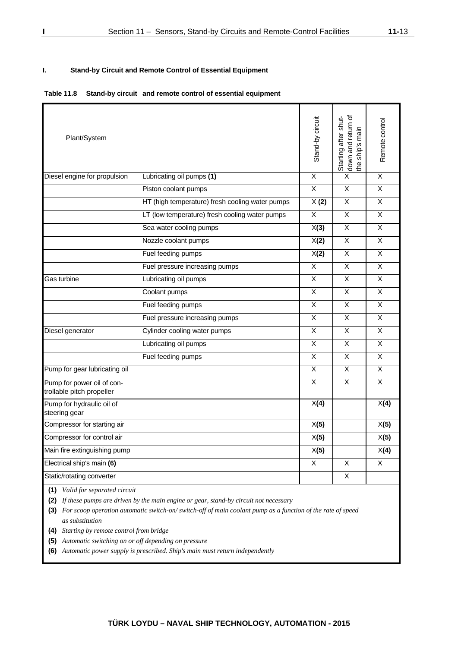### **I. Stand-by Circuit and Remote Control of Essential Equipment**

#### **Table 11.8 Stand-by circuit and remote control of essential equipment**

| Plant/System                                            |                                                 | Stand-by circuit        | down and return of<br>Starting after shut-<br>the ship's main | Remote control          |
|---------------------------------------------------------|-------------------------------------------------|-------------------------|---------------------------------------------------------------|-------------------------|
| Diesel engine for propulsion                            | Lubricating oil pumps (1)                       | $\overline{X}$          | X                                                             | X                       |
|                                                         | Piston coolant pumps                            | $\overline{\mathsf{x}}$ | X                                                             | $\pmb{\times}$          |
|                                                         | HT (high temperature) fresh cooling water pumps | X(2)                    | $\overline{\mathsf{x}}$                                       | $\overline{\mathsf{x}}$ |
|                                                         | LT (low temperature) fresh cooling water pumps  | $\overline{X}$          | $\overline{X}$                                                | X                       |
|                                                         | Sea water cooling pumps                         | X(3)                    | X                                                             | X                       |
|                                                         | Nozzle coolant pumps                            | X(2)                    | $\overline{\mathsf{x}}$                                       | $\overline{\mathsf{x}}$ |
|                                                         | Fuel feeding pumps                              | X(2)                    | X                                                             | X                       |
|                                                         | Fuel pressure increasing pumps                  | $\overline{\mathsf{x}}$ | $\overline{\mathsf{x}}$                                       | $\overline{\mathsf{x}}$ |
| Gas turbine                                             | Lubricating oil pumps                           | X                       | X                                                             | X                       |
|                                                         | Coolant pumps                                   | X                       | X                                                             | $\pmb{\times}$          |
|                                                         | Fuel feeding pumps                              | X                       | X                                                             | X                       |
|                                                         | Fuel pressure increasing pumps                  | $\overline{\mathsf{x}}$ | X                                                             | $\overline{\mathsf{x}}$ |
| Diesel generator                                        | Cylinder cooling water pumps                    | X.                      | X                                                             | X                       |
|                                                         | Lubricating oil pumps                           | $\overline{\mathsf{x}}$ | X                                                             | X                       |
|                                                         | Fuel feeding pumps                              | X                       | $\pmb{\times}$                                                | X                       |
| Pump for gear lubricating oil                           |                                                 | $\overline{\mathsf{x}}$ | $\overline{\mathsf{x}}$                                       | X                       |
| Pump for power oil of con-<br>trollable pitch propeller |                                                 | $\overline{\mathsf{x}}$ | $\overline{\mathsf{x}}$                                       | $\overline{\mathsf{x}}$ |
| Pump for hydraulic oil of<br>steering gear              |                                                 | X(4)                    |                                                               | X(4)                    |
| Compressor for starting air                             |                                                 | X(5)                    |                                                               | X(5)                    |
| Compressor for control air                              |                                                 | X(5)                    |                                                               | X(5)                    |
| Main fire extinguishing pump                            |                                                 | X(5)                    |                                                               | X(4)                    |
| Electrical ship's main (6)                              |                                                 | X                       | X                                                             | X                       |
| Static/rotating converter                               |                                                 |                         | X                                                             |                         |

**(1)** *Valid for separated circuit* 

**(2)** *If these pumps are driven by the main engine or gear, stand-by circuit not necessary* 

**(3)** *For scoop operation automatic switch-on/ switch-off of main coolant pump as a function of the rate of speed as substitution* 

**(4)** *Starting by remote control from bridge* 

**(5)** *Automatic switching on or off depending on pressure* 

**(6)** *Automatic power supply is prescribed. Ship's main must return independently*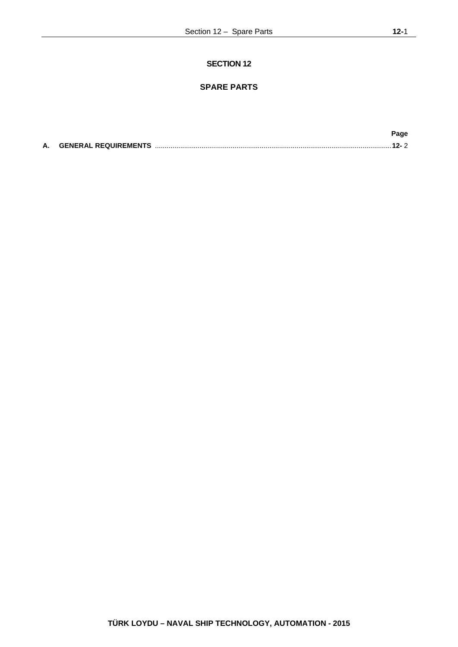# **SECTION 12**

# **SPARE PARTS**

|  | Page |
|--|------|
|  |      |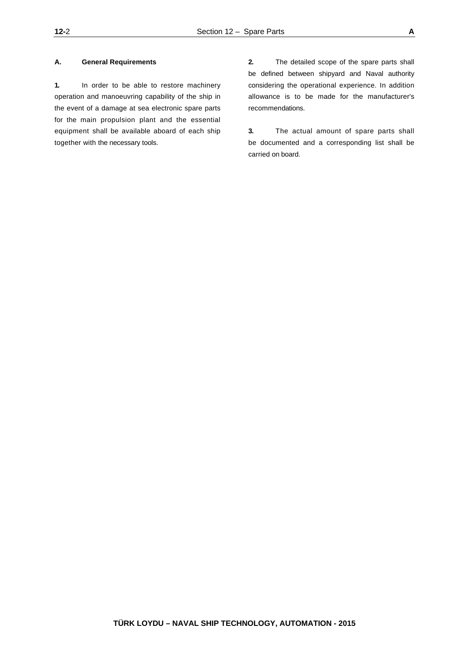#### **A. General Requirements**

**1.** In order to be able to restore machinery operation and manoeuvring capability of the ship in the event of a damage at sea electronic spare parts for the main propulsion plant and the essential equipment shall be available aboard of each ship together with the necessary tools.

**2.** The detailed scope of the spare parts shall be defined between shipyard and Naval authority considering the operational experience. In addition allowance is to be made for the manufacturer's recommendations.

**3.** The actual amount of spare parts shall be documented and a corresponding list shall be carried on board.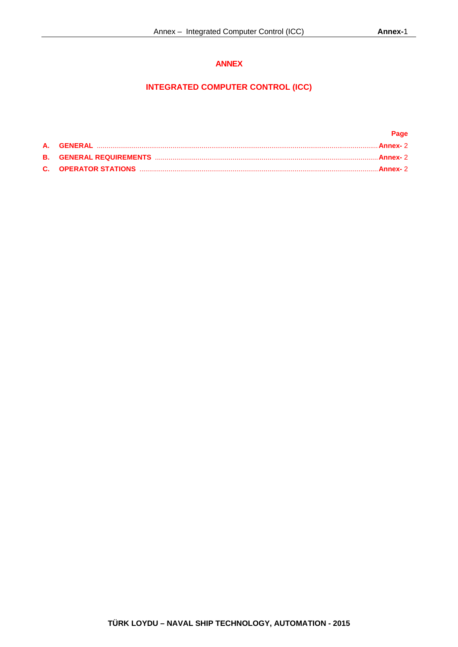# **ANNEX**

# **INTEGRATED COMPUTER CONTROL (ICC)**

|  | Page |
|--|------|
|  |      |
|  |      |
|  |      |